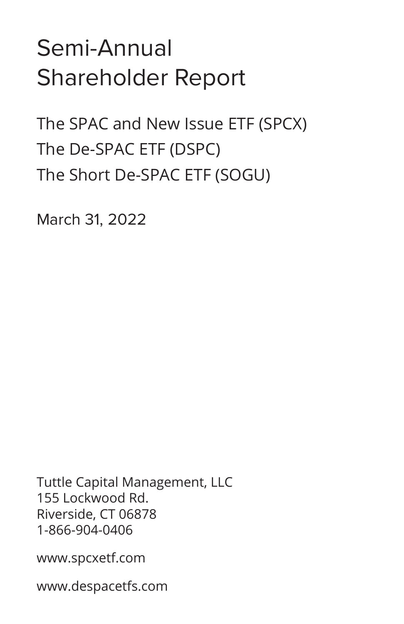# Semi-Annual Shareholder Report

The SPAC and New Issue ETF (SPCX) The De-SPAC ETF (DSPC) The Short De-SPAC ETF (SOGU)

March 31, 2022

Tuttle Capital Management, LLC 155 Lockwood Rd. Riverside, CT 06878 1-866-904-0406

www.spcxetf.com

www.despacetfs.com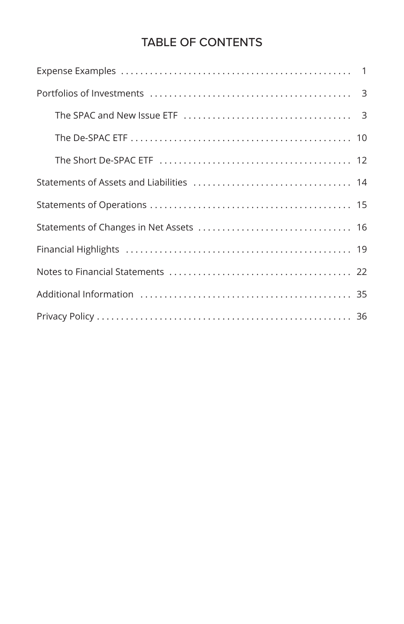# TABLE OF CONTENTS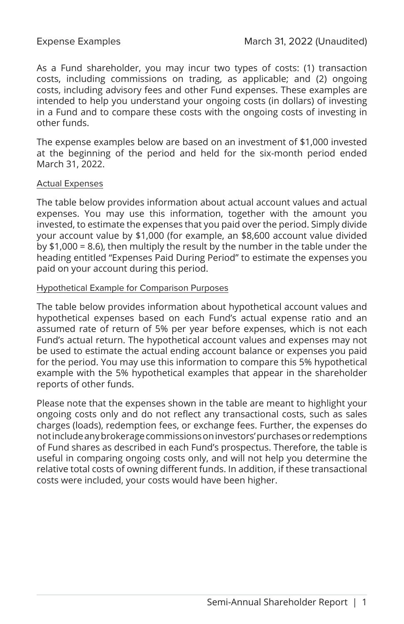As a Fund shareholder, you may incur two types of costs: (1) transaction costs, including commissions on trading, as applicable; and (2) ongoing costs, including advisory fees and other Fund expenses. These examples are intended to help you understand your ongoing costs (in dollars) of investing in a Fund and to compare these costs with the ongoing costs of investing in other funds.

The expense examples below are based on an investment of \$1,000 invested at the beginning of the period and held for the six-month period ended March 31, 2022.

#### Actual Expenses

The table below provides information about actual account values and actual expenses. You may use this information, together with the amount you invested, to estimate the expenses that you paid over the period. Simply divide your account value by \$1,000 (for example, an \$8,600 account value divided by \$1,000 = 8.6), then multiply the result by the number in the table under the heading entitled "Expenses Paid During Period" to estimate the expenses you paid on your account during this period.

#### Hypothetical Example for Comparison Purposes

The table below provides information about hypothetical account values and hypothetical expenses based on each Fund's actual expense ratio and an assumed rate of return of 5% per year before expenses, which is not each Fund's actual return. The hypothetical account values and expenses may not be used to estimate the actual ending account balance or expenses you paid for the period. You may use this information to compare this 5% hypothetical example with the 5% hypothetical examples that appear in the shareholder reports of other funds.

Please note that the expenses shown in the table are meant to highlight your ongoing costs only and do not reflect any transactional costs, such as sales charges (loads), redemption fees, or exchange fees. Further, the expenses do not include any brokerage commissions on investors' purchases or redemptions of Fund shares as described in each Fund's prospectus. Therefore, the table is useful in comparing ongoing costs only, and will not help you determine the relative total costs of owning different funds. In addition, if these transactional costs were included, your costs would have been higher.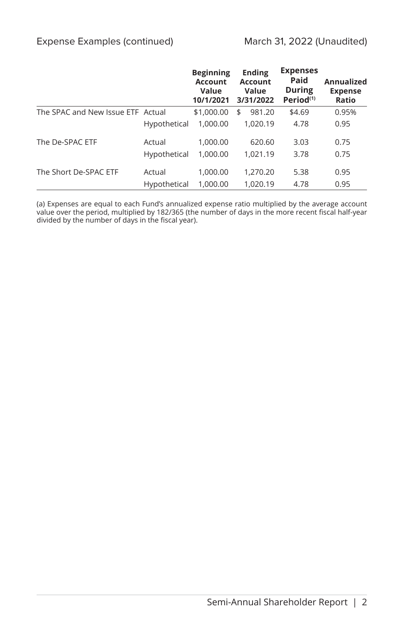|                                   |              | <b>Beginning</b><br><b>Account</b><br>Value<br>10/1/2021 | <b>Ending</b><br><b>Account</b><br>Value<br>3/31/2022 | <b>Expenses</b><br>Paid<br><b>During</b><br>Period <sup>(1)</sup> | Annualized<br><b>Expense</b><br>Ratio |
|-----------------------------------|--------------|----------------------------------------------------------|-------------------------------------------------------|-------------------------------------------------------------------|---------------------------------------|
| The SPAC and New Issue ETF Actual |              | \$1,000.00                                               | 981.20<br>\$                                          | \$4.69                                                            | 0.95%                                 |
|                                   | Hypothetical | 1,000.00                                                 | 1,020.19                                              | 4.78                                                              | 0.95                                  |
| The De-SPAC ETF                   | Actual       | 1.000.00                                                 | 620.60                                                | 3.03                                                              | 0.75                                  |
|                                   | Hypothetical | 1,000.00                                                 | 1,021.19                                              | 3.78                                                              | 0.75                                  |
| The Short De-SPAC ETF             | Actual       | 1,000.00                                                 | 1,270.20                                              | 5.38                                                              | 0.95                                  |
|                                   | Hypothetical | 1.000.00                                                 | 1,020.19                                              | 4.78                                                              | 0.95                                  |

(a) Expenses are equal to each Fund's annualized expense ratio multiplied by the average account value over the period, multiplied by 182/365 (the number of days in the more recent fiscal half-year divided by the number of days in the fiscal year).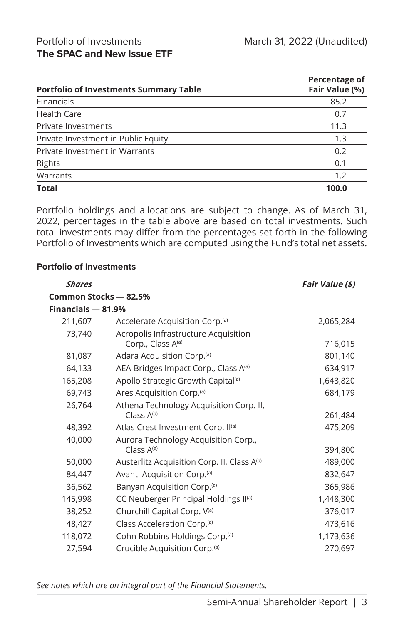| <b>Portfolio of Investments Summary Table</b> | Percentage of<br>Fair Value (%) |
|-----------------------------------------------|---------------------------------|
| <b>Financials</b>                             | 85.2                            |
| <b>Health Care</b>                            | 0.7                             |
| Private Investments                           | 11.3                            |
| Private Investment in Public Equity           | 1.3                             |
| Private Investment in Warrants                | 0.2                             |
| Rights                                        | 0.1                             |
| Warrants                                      | 1.2                             |
| <b>Total</b>                                  | 100.0                           |

Portfolio holdings and allocations are subject to change. As of March 31, 2022, percentages in the table above are based on total investments. Such total investments may differ from the percentages set forth in the following Portfolio of Investments which are computed using the Fund's total net assets.

#### **Portfolio of Investments**

| Shares                |                                                                       | Fair Value (\$) |
|-----------------------|-----------------------------------------------------------------------|-----------------|
| Common Stocks - 82.5% |                                                                       |                 |
| Financials - 81.9%    |                                                                       |                 |
| 211,607               | Accelerate Acquisition Corp. <sup>(a)</sup>                           | 2,065,284       |
| 73,740                | Acropolis Infrastructure Acquisition<br>Corp., Class A <sup>(a)</sup> | 716,015         |
| 81,087                | Adara Acquisition Corp. <sup>(a)</sup>                                | 801,140         |
| 64,133                | AEA-Bridges Impact Corp., Class A(a)                                  | 634,917         |
| 165,208               | Apollo Strategic Growth Capital <sup>(a)</sup>                        | 1,643,820       |
| 69,743                | Ares Acquisition Corp. <sup>(a)</sup>                                 | 684,179         |
| 26,764                | Athena Technology Acquisition Corp. II,<br>Class $A^{(a)}$            | 261,484         |
| 48,392                | Atlas Crest Investment Corp. II(a)                                    | 475,209         |
| 40,000                | Aurora Technology Acquisition Corp.,<br>$Cl$ ass A(a)                 | 394,800         |
| 50,000                | Austerlitz Acquisition Corp. II, Class A(a)                           | 489,000         |
| 84,447                | Avanti Acquisition Corp. <sup>(a)</sup>                               | 832,647         |
| 36,562                | Banyan Acquisition Corp. <sup>(a)</sup>                               | 365,986         |
| 145,998               | CC Neuberger Principal Holdings II <sup>(a)</sup>                     | 1,448,300       |
| 38,252                | Churchill Capital Corp. V <sup>(a)</sup>                              | 376,017         |
| 48,427                | Class Acceleration Corp. <sup>(a)</sup>                               | 473,616         |
| 118,072               | Cohn Robbins Holdings Corp. <sup>(a)</sup>                            | 1,173,636       |
| 27,594                | Crucible Acquisition Corp. <sup>(a)</sup>                             | 270,697         |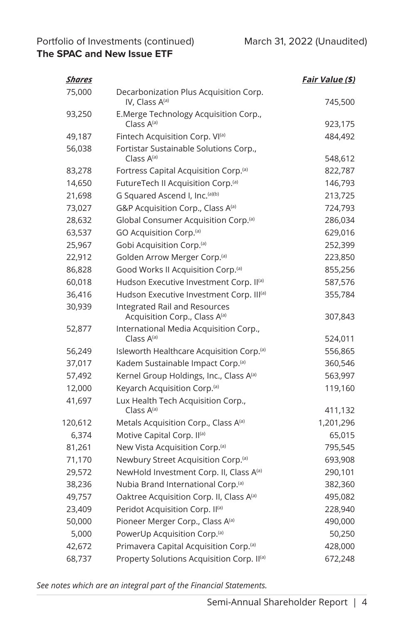| <u>Shares</u> |                                                                      | <b>Fair Value (\$)</b> |
|---------------|----------------------------------------------------------------------|------------------------|
| 75,000        | Decarbonization Plus Acquisition Corp.<br>IV, Class A <sup>(a)</sup> | 745,500                |
| 93,250        | E.Merge Technology Acquisition Corp.,<br>Class $A^{(a)}$             | 923,175                |
| 49,187        | Fintech Acquisition Corp. VI <sup>(a)</sup>                          | 484,492                |
| 56,038        | Fortistar Sustainable Solutions Corp.,<br>Class $A^{(a)}$            | 548,612                |
| 83,278        | Fortress Capital Acquisition Corp. <sup>(a)</sup>                    | 822,787                |
| 14,650        | FutureTech II Acquisition Corp. <sup>(a)</sup>                       | 146,793                |
| 21,698        | G Squared Ascend I, Inc. (a)(b)                                      | 213,725                |
| 73,027        | G&P Acquisition Corp., Class A(a)                                    | 724,793                |
| 28,632        | Global Consumer Acquisition Corp. <sup>(a)</sup>                     | 286,034                |
| 63,537        | GO Acquisition Corp. <sup>(a)</sup>                                  | 629,016                |
| 25,967        | Gobi Acquisition Corp. <sup>(a)</sup>                                | 252,399                |
| 22,912        | Golden Arrow Merger Corp. <sup>(a)</sup>                             | 223,850                |
| 86,828        | Good Works II Acquisition Corp. <sup>(a)</sup>                       | 855,256                |
| 60,018        | Hudson Executive Investment Corp. II(a)                              | 587,576                |
| 36,416        | Hudson Executive Investment Corp. III <sup>(a)</sup>                 | 355,784                |
| 30,939        | Integrated Rail and Resources<br>Acquisition Corp., Class A(a)       | 307,843                |
| 52,877        | International Media Acquisition Corp.,<br>Class $A^{(a)}$            | 524,011                |
| 56,249        | Isleworth Healthcare Acquisition Corp. <sup>(a)</sup>                | 556,865                |
| 37,017        | Kadem Sustainable Impact Corp. <sup>(a)</sup>                        | 360,546                |
| 57,492        | Kernel Group Holdings, Inc., Class A <sup>(a)</sup>                  | 563,997                |
| 12,000        | Keyarch Acquisition Corp. <sup>(a)</sup>                             | 119,160                |
| 41,697        | Lux Health Tech Acquisition Corp.,<br>Class A(a)                     | 411,132                |
| 120,612       | Metals Acquisition Corp., Class A <sup>(a)</sup>                     | 1,201,296              |
| 6,374         | Motive Capital Corp. II(a)                                           | 65,015                 |
| 81,261        | New Vista Acquisition Corp. <sup>(a)</sup>                           | 795,545                |
| 71,170        | Newbury Street Acquisition Corp. <sup>(a)</sup>                      | 693,908                |
| 29,572        | NewHold Investment Corp. II, Class A(a)                              | 290,101                |
| 38,236        | Nubia Brand International Corp. <sup>(a)</sup>                       | 382,360                |
| 49,757        | Oaktree Acquisition Corp. II, Class A <sup>(a)</sup>                 | 495,082                |
| 23,409        | Peridot Acquisition Corp. II <sup>(a)</sup>                          | 228,940                |
| 50,000        | Pioneer Merger Corp., Class A(a)                                     | 490,000                |
| 5,000         | PowerUp Acquisition Corp. <sup>(a)</sup>                             | 50,250                 |
| 42,672        | Primavera Capital Acquisition Corp. <sup>(a)</sup>                   | 428,000                |
| 68,737        | Property Solutions Acquisition Corp. II <sup>(a)</sup>               | 672,248                |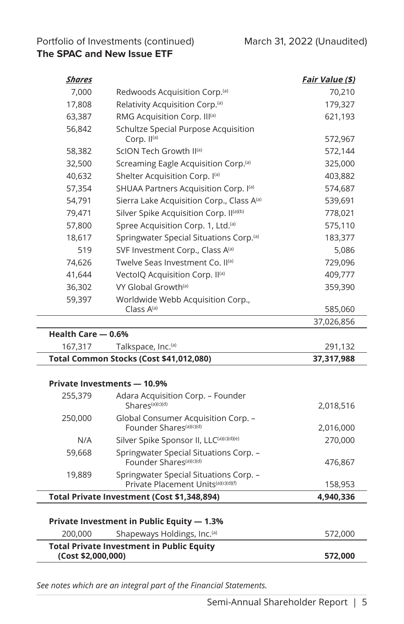| <b>Shares</b>      |                                                                                           | Fair Value (\$) |
|--------------------|-------------------------------------------------------------------------------------------|-----------------|
| 7,000              | Redwoods Acquisition Corp. <sup>(a)</sup>                                                 | 70,210          |
| 17,808             | Relativity Acquisition Corp. <sup>(a)</sup>                                               | 179,327         |
| 63,387             | RMG Acquisition Corp. III <sup>(a)</sup>                                                  | 621,193         |
| 56,842             | Schultze Special Purpose Acquisition<br>Corp. II(a)                                       | 572,967         |
| 58,382             | ScION Tech Growth II <sup>(a)</sup>                                                       | 572,144         |
| 32,500             | Screaming Eagle Acquisition Corp. <sup>(a)</sup>                                          | 325,000         |
| 40,632             | Shelter Acquisition Corp. I(a)                                                            | 403,882         |
| 57,354             | SHUAA Partners Acquisition Corp. I <sup>(a)</sup>                                         | 574,687         |
| 54,791             | Sierra Lake Acquisition Corp., Class A(a)                                                 | 539,691         |
| 79,471             | Silver Spike Acquisition Corp. II(a)(b)                                                   | 778,021         |
| 57,800             | Spree Acquisition Corp. 1, Ltd. <sup>(a)</sup>                                            | 575,110         |
| 18,617             | Springwater Special Situations Corp. <sup>(a)</sup>                                       | 183,377         |
| 519                | SVF Investment Corp., Class A(a)                                                          | 5,086           |
| 74,626             | Twelve Seas Investment Co. II <sup>(a)</sup>                                              | 729,096         |
| 41,644             | VectolQ Acquisition Corp. II(a)                                                           | 409,777         |
| 36,302             | VY Global Growth <sup>(a)</sup>                                                           | 359,390         |
| 59,397             | Worldwide Webb Acquisition Corp.,<br>Class $A^{(a)}$                                      | 585,060         |
|                    |                                                                                           | 37,026,856      |
| Health Care - 0.6% |                                                                                           |                 |
| 167,317            | Talkspace, Inc. <sup>(a)</sup>                                                            | 291,132         |
|                    | Total Common Stocks (Cost \$41,012,080)                                                   | 37,317,988      |
|                    |                                                                                           |                 |
|                    | Private Investments - 10.9%                                                               |                 |
| 255,379            | Adara Acquisition Corp. - Founder<br>Shares <sup>(a)(c)(d)</sup>                          | 2,018,516       |
| 250,000            | Global Consumer Acquisition Corp. -<br>Founder Shares <sup>(a)(c)(d)</sup>                | 2,016,000       |
| N/A                | Silver Spike Sponsor II, LLC(a)(c)(d)(e)                                                  | 270,000         |
| 59,668             | Springwater Special Situations Corp. -<br>Founder Shares <sup>(a)(c)(d)</sup>             | 476,867         |
| 19,889             | Springwater Special Situations Corp. -<br>Private Placement Units <sup>(a)(c)(d)(f)</sup> | 158,953         |
|                    | Total Private Investment (Cost \$1,348,894)                                               | 4,940,336       |

#### **Private Investment in Public Equity — 1.3%**

| 200,000            | Shapeways Holdings, Inc. <sup>(a)</sup>          | 572,000 |
|--------------------|--------------------------------------------------|---------|
| (Cost \$2,000,000) | <b>Total Private Investment in Public Equity</b> | 572.000 |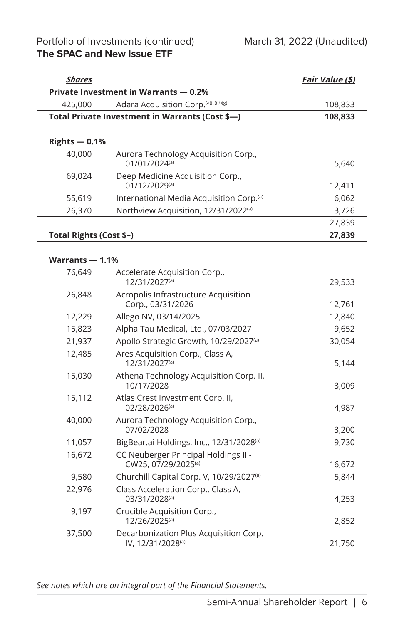| <b>Shares</b>           |                                                                     | Fair Value (\$) |
|-------------------------|---------------------------------------------------------------------|-----------------|
|                         | Private Investment in Warrants - 0.2%                               |                 |
| 425,000                 | Adara Acquisition Corp. (a)(c)(d)(g)                                | 108,833         |
|                         | Total Private Investment in Warrants (Cost \$-)                     | 108,833         |
|                         |                                                                     |                 |
| Rights $-0.1%$          |                                                                     |                 |
| 40,000                  | Aurora Technology Acquisition Corp.,<br>$01/01/2024$ <sup>(a)</sup> | 5.640           |
| 69.024                  | Deep Medicine Acquisition Corp.,<br>$01/12/2029$ <sup>(a)</sup>     | 12,411          |
| 55,619                  | International Media Acquisition Corp. <sup>(a)</sup>                | 6,062           |
| 26,370                  | Northview Acquisition, 12/31/2022 <sup>(a)</sup>                    | 3.726           |
|                         |                                                                     | 27,839          |
| Total Rights (Cost \$-) |                                                                     | 27,839          |

#### **Warrants — 1.1%**

| 76,649 | Accelerate Acquisition Corp.,<br>12/31/2027(a)                | 29,533 |
|--------|---------------------------------------------------------------|--------|
| 26,848 | Acropolis Infrastructure Acquisition<br>Corp., 03/31/2026     | 12,761 |
| 12,229 | Allego NV, 03/14/2025                                         | 12,840 |
| 15,823 | Alpha Tau Medical, Ltd., 07/03/2027                           | 9,652  |
| 21,937 | Apollo Strategic Growth, 10/29/2027 <sup>(a)</sup>            | 30,054 |
| 12,485 | Ares Acquisition Corp., Class A,<br>12/31/2027(a)             | 5.144  |
| 15,030 | Athena Technology Acquisition Corp. II,<br>10/17/2028         | 3.009  |
| 15,112 | Atlas Crest Investment Corp. II,<br>02/28/2026 <sup>(a)</sup> | 4,987  |
| 40,000 | Aurora Technology Acquisition Corp.,<br>07/02/2028            | 3,200  |
| 11,057 | BigBear.ai Holdings, Inc., 12/31/2028 <sup>(a)</sup>          | 9,730  |
| 16,672 | CC Neuberger Principal Holdings II -<br>CW25, 07/29/2025(a)   | 16,672 |
| 9,580  | Churchill Capital Corp. V, 10/29/2027 <sup>(a)</sup>          | 5,844  |
| 22,976 | Class Acceleration Corp., Class A,<br>03/31/2028(a)           | 4,253  |
| 9,197  | Crucible Acquisition Corp.,<br>12/26/2025 <sup>(a)</sup>      | 2,852  |
| 37,500 | Decarbonization Plus Acquisition Corp.<br>IV, 12/31/2028(a)   | 21.750 |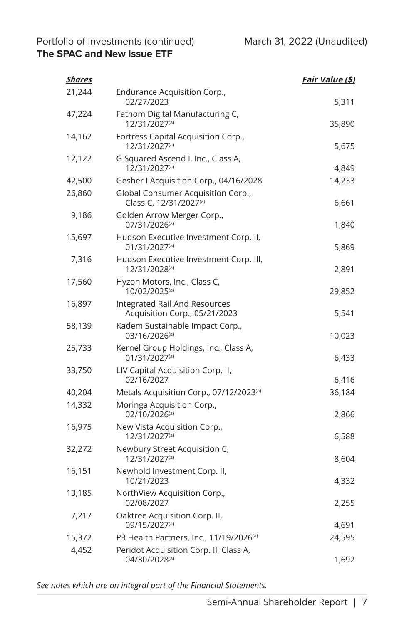| Shares |                                                                | Fair Value (\$) |
|--------|----------------------------------------------------------------|-----------------|
| 21,244 | Endurance Acquisition Corp.,<br>02/27/2023                     | 5,311           |
| 47,224 | Fathom Digital Manufacturing C,<br>12/31/2027(a)               | 35,890          |
| 14,162 | Fortress Capital Acquisition Corp.,<br>12/31/2027(a)           | 5,675           |
| 12,122 | G Squared Ascend I, Inc., Class A,<br>12/31/2027(a)            | 4,849           |
| 42,500 | Gesher I Acquisition Corp., 04/16/2028                         | 14,233          |
| 26,860 | Global Consumer Acquisition Corp.,<br>Class C, 12/31/2027(a)   | 6,661           |
| 9,186  | Golden Arrow Merger Corp.,<br>07/31/2026(a)                    | 1,840           |
| 15,697 | Hudson Executive Investment Corp. II,<br>01/31/2027(a)         | 5,869           |
| 7,316  | Hudson Executive Investment Corp. III,<br>12/31/2028(a)        | 2,891           |
| 17,560 | Hyzon Motors, Inc., Class C,<br>10/02/2025 <sup>(a)</sup>      | 29,852          |
| 16,897 | Integrated Rail And Resources<br>Acquisition Corp., 05/21/2023 | 5,541           |
| 58,139 | Kadem Sustainable Impact Corp.,<br>03/16/2026(a)               | 10,023          |
| 25,733 | Kernel Group Holdings, Inc., Class A,<br>01/31/2027(a)         | 6,433           |
| 33,750 | LIV Capital Acquisition Corp. II,<br>02/16/2027                | 6,416           |
| 40,204 | Metals Acquisition Corp., 07/12/2023(a)                        | 36,184          |
| 14,332 | Moringa Acquisition Corp.,<br>02/10/2026(a)                    | 2,866           |
| 16,975 | New Vista Acquisition Corp.,<br>12/31/2027(a)                  | 6,588           |
| 32,272 | Newbury Street Acquisition C,<br>12/31/2027(a)                 | 8,604           |
| 16,151 | Newhold Investment Corp. II,<br>10/21/2023                     | 4,332           |
| 13,185 | NorthView Acquisition Corp.,<br>02/08/2027                     | 2,255           |
| 7,217  | Oaktree Acquisition Corp. II,<br>09/15/2027(a)                 | 4,691           |
| 15,372 | P3 Health Partners, Inc., 11/19/2026(a)                        | 24,595          |
| 4,452  | Peridot Acquisition Corp. II, Class A,<br>04/30/2028(a)        | 1,692           |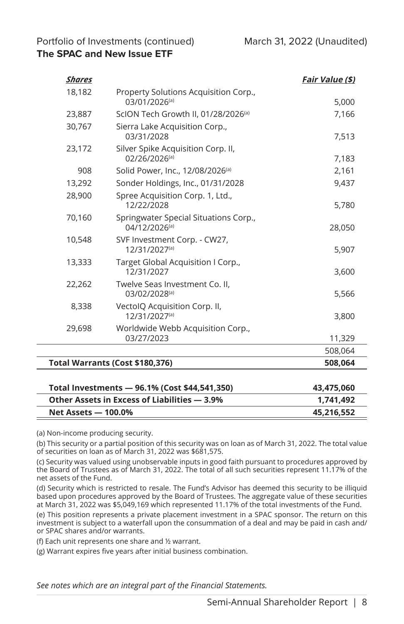| <b>Shares</b> |                                                        | Fair Value (\$) |
|---------------|--------------------------------------------------------|-----------------|
| 18,182        | Property Solutions Acquisition Corp.,<br>03/01/2026(a) | 5,000           |
| 23,887        | ScION Tech Growth II, 01/28/2026 <sup>(a)</sup>        | 7,166           |
| 30,767        | Sierra Lake Acquisition Corp.,<br>03/31/2028           | 7.513           |
| 23,172        | Silver Spike Acquisition Corp. II,<br>02/26/2026(a)    | 7,183           |
| 908           | Solid Power, Inc., 12/08/2026(a)                       | 2,161           |
| 13,292        | Sonder Holdings, Inc., 01/31/2028                      | 9,437           |
| 28,900        | Spree Acquisition Corp. 1, Ltd.,<br>12/22/2028         | 5,780           |
| 70,160        | Springwater Special Situations Corp.,<br>04/12/2026(a) | 28,050          |
| 10,548        | SVF Investment Corp. - CW27,<br>12/31/2027(a)          | 5.907           |
| 13,333        | Target Global Acquisition I Corp.,<br>12/31/2027       | 3.600           |
| 22,262        | Twelve Seas Investment Co. II,<br>03/02/2028(a)        | 5,566           |
| 8,338         | VectolQ Acquisition Corp. II,<br>12/31/2027(a)         | 3,800           |
| 29,698        | Worldwide Webb Acquisition Corp.,<br>03/27/2023        | 11,329          |
|               |                                                        | 508,064         |
|               | Total Warrants (Cost \$180,376)                        | 508,064         |
|               |                                                        |                 |

| Total Investments - 96.1% (Cost \$44,541,350) | 43,475,060 |
|-----------------------------------------------|------------|
| Other Assets in Excess of Liabilities - 3.9%  | 1.741.492  |
| <b>Net Assets — 100.0%</b>                    | 45,216,552 |
|                                               |            |

(a) Non-income producing security.

 $\overline{a}$ 

(b) This security or a partial position of this security was on loan as of March 31, 2022. The total value of securities on loan as of March 31, 2022 was \$681,575.

(c) Security was valued using unobservable inputs in good faith pursuant to procedures approved by the Board of Trustees as of March 31, 2022. The total of all such securities represent 11.17% of the net assets of the Fund.

(d) Security which is restricted to resale. The Fund's Advisor has deemed this security to be illiquid based upon procedures approved by the Board of Trustees. The aggregate value of these securities at March 31, 2022 was \$5,049,169 which represented 11.17% of the total investments of the Fund.

(e) This position represents a private placement investment in a SPAC sponsor. The return on this investment is subject to a waterfall upon the consummation of a deal and may be paid in cash and/ or SPAC shares and/or warrants.

(f) Each unit represents one share and ½ warrant.

(g) Warrant expires five years after initial business combination.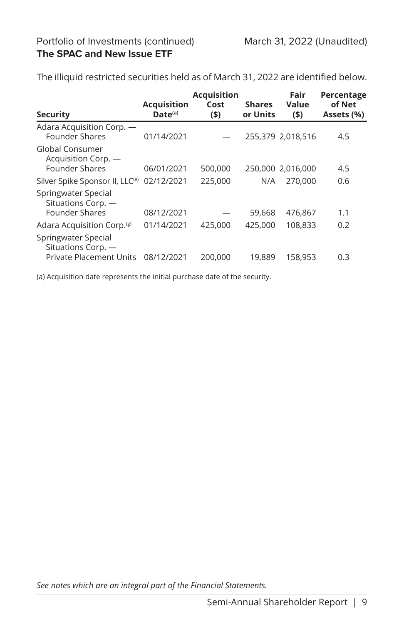|                                                           | <b>Acquisition</b> |                           | Fair         | Percentage                             |
|-----------------------------------------------------------|--------------------|---------------------------|--------------|----------------------------------------|
| <b>Acquisition</b><br>Date <sup>(a)</sup>                 | Cost<br>(5)        | <b>Shares</b><br>or Units | Value<br>(5) | of Net<br>Assets (%)                   |
| 01/14/2021                                                |                    |                           |              | 4.5                                    |
|                                                           |                    |                           |              |                                        |
|                                                           |                    |                           |              | 4.5                                    |
| 02/12/2021<br>Silver Spike Sponsor II, LLC <sup>(e)</sup> | 225,000            | N/A                       | 270,000      | 0.6                                    |
|                                                           |                    |                           |              |                                        |
| 08/12/2021                                                |                    | 59,668                    | 476,867      | 1.1                                    |
| 01/14/2021                                                | 425,000            | 425,000                   | 108.833      | 0.2                                    |
| 08/12/2021                                                | 200,000            | 19,889                    | 158,953      | 0.3                                    |
|                                                           | 06/01/2021         | 500,000                   |              | 255,379 2,018,516<br>250,000 2,016,000 |

The illiquid restricted securities held as of March 31, 2022 are identified below.

(a) Acquisition date represents the initial purchase date of the security.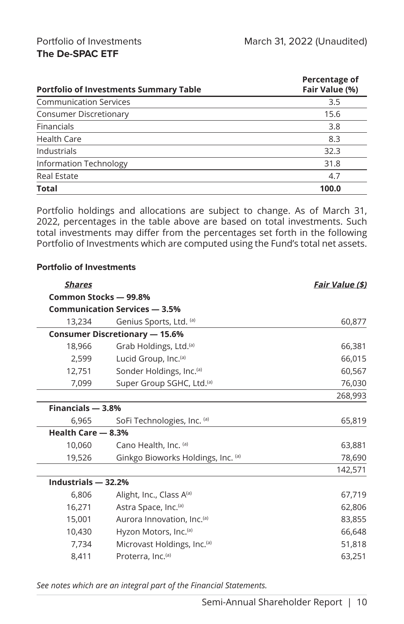# **The De-SPAC ETF**

| <b>Portfolio of Investments Summary Table</b> | Percentage of<br>Fair Value (%) |
|-----------------------------------------------|---------------------------------|
| <b>Communication Services</b>                 | 3.5                             |
| Consumer Discretionary                        | 15.6                            |
| <b>Financials</b>                             | 3.8                             |
| <b>Health Care</b>                            | 8.3                             |
| Industrials                                   | 32.3                            |
| Information Technology                        | 31.8                            |
| <b>Real Estate</b>                            | 4.7                             |
| <b>Total</b>                                  | 100.0                           |

Portfolio holdings and allocations are subject to change. As of March 31, 2022, percentages in the table above are based on total investments. Such total investments may differ from the percentages set forth in the following Portfolio of Investments which are computed using the Fund's total net assets.

#### **Portfolio of Investments**

| <b>Shares</b>         |                                         | <b>Fair Value (\$)</b> |
|-----------------------|-----------------------------------------|------------------------|
| Common Stocks - 99.8% |                                         |                        |
|                       | <b>Communication Services - 3.5%</b>    |                        |
| 13,234                | Genius Sports, Ltd. (a)                 | 60,877                 |
|                       | <b>Consumer Discretionary - 15.6%</b>   |                        |
| 18,966                | Grab Holdings, Ltd.(a)                  | 66,381                 |
| 2,599                 | Lucid Group, Inc. <sup>(a)</sup>        | 66,015                 |
| 12,751                | Sonder Holdings, Inc. <sup>(a)</sup>    | 60,567                 |
| 7,099                 | Super Group SGHC, Ltd.(a)               | 76,030                 |
|                       |                                         | 268,993                |
| Financials $-3.8%$    |                                         |                        |
| 6,965                 | SoFi Technologies, Inc. (a)             | 65,819                 |
| Health Care - 8.3%    |                                         |                        |
| 10,060                | Cano Health, Inc. (a)                   | 63,881                 |
| 19,526                | Ginkgo Bioworks Holdings, Inc. (a)      | 78,690                 |
|                       |                                         | 142,571                |
| Industrials - 32.2%   |                                         |                        |
| 6,806                 | Alight, Inc., Class A(a)                | 67,719                 |
| 16,271                | Astra Space, Inc. <sup>(a)</sup>        | 62,806                 |
| 15,001                | Aurora Innovation, Inc. <sup>(a)</sup>  | 83,855                 |
| 10,430                | Hyzon Motors, Inc. <sup>(a)</sup>       | 66,648                 |
| 7,734                 | Microvast Holdings, Inc. <sup>(a)</sup> | 51,818                 |
| 8,411                 | Proterra, Inc. <sup>(a)</sup>           | 63,251                 |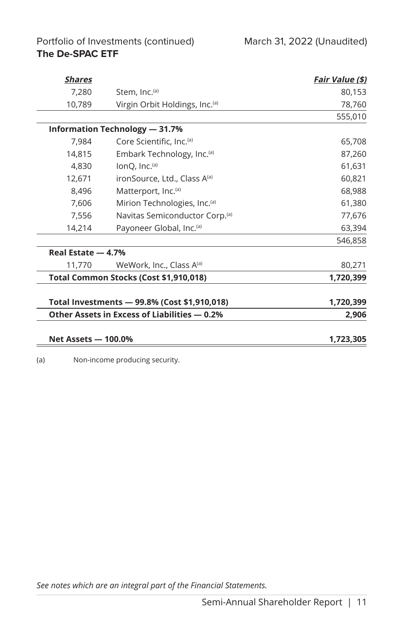# Portfolio of Investments (continued) March 31, 2022 (Unaudited) **The De-SPAC ETF**

| <b>Shares</b>              |                                                     | Fair Value (\$) |
|----------------------------|-----------------------------------------------------|-----------------|
| 7,280                      | Stem, Inc. <sup>(a)</sup>                           | 80,153          |
| 10,789                     | Virgin Orbit Holdings, Inc. <sup>(a)</sup>          | 78,760          |
|                            |                                                     | 555,010         |
|                            | <b>Information Technology - 31.7%</b>               |                 |
| 7,984                      | Core Scientific, Inc. <sup>(a)</sup>                | 65,708          |
| 14,815                     | Embark Technology, Inc. <sup>(a)</sup>              | 87,260          |
| 4,830                      | IonQ, Inc. <sup>(a)</sup>                           | 61,631          |
| 12,671                     | ironSource, Ltd., Class A(a)                        | 60,821          |
| 8,496                      | Matterport, Inc. <sup>(a)</sup>                     | 68,988          |
| 7,606                      | Mirion Technologies, Inc. <sup>(a)</sup>            | 61,380          |
| 7,556                      | Navitas Semiconductor Corp. <sup>(a)</sup>          | 77,676          |
| 14,214                     | Payoneer Global, Inc. <sup>(a)</sup>                | 63,394          |
|                            |                                                     | 546,858         |
| Real Estate - 4.7%         |                                                     |                 |
| 11,770                     | WeWork, Inc., Class A(a)                            | 80,271          |
|                            | Total Common Stocks (Cost \$1,910,018)              | 1,720,399       |
|                            | Total Investments - 99.8% (Cost \$1,910,018)        | 1,720,399       |
|                            | <b>Other Assets in Excess of Liabilities - 0.2%</b> | 2,906           |
|                            |                                                     |                 |
| <b>Net Assets - 100.0%</b> |                                                     | 1,723,305       |

(a) Non-income producing security.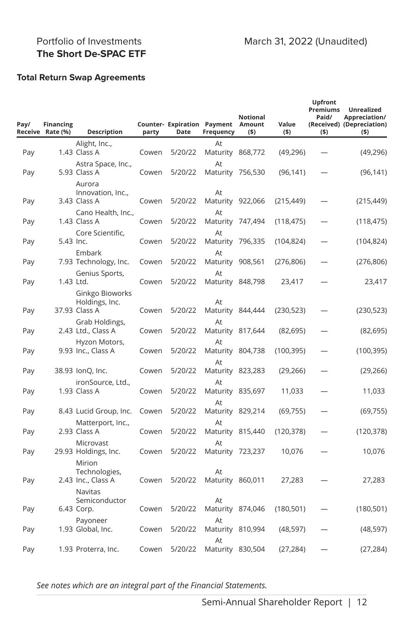# **The Short De-SPAC ETF**

#### **Total Return Swap Agreements**

| Pay/ | <b>Financing</b><br>Receive Rate (%) | <b>Description</b>                                 | party | Counter- Expiration Payment Amount<br>Date | Frequency              | <b>Notional</b><br>(\$) | Value<br>(\$) | Upfront<br>Premiums<br>Paid/<br>(5) | Unrealized<br>Appreciation/<br>(Received) (Depreciation)<br>(\$) |
|------|--------------------------------------|----------------------------------------------------|-------|--------------------------------------------|------------------------|-------------------------|---------------|-------------------------------------|------------------------------------------------------------------|
| Pay  |                                      | Alight, Inc.,<br>1.43 Class A                      | Cowen | 5/20/22                                    | At<br>Maturity 868,772 |                         | (49, 296)     |                                     | (49, 296)                                                        |
| Pay  |                                      | Astra Space, Inc.,<br>5.93 Class A                 | Cowen | 5/20/22                                    | At<br>Maturity 756,530 |                         | (96, 141)     |                                     | (96, 141)                                                        |
| Pay  |                                      | Aurora<br>Innovation, Inc.,<br>3.43 Class A        | Cowen | 5/20/22                                    | At<br>Maturity 922,066 |                         | (215, 449)    |                                     | (215, 449)                                                       |
| Pay  |                                      | Cano Health, Inc.,<br>1.43 Class A                 | Cowen | 5/20/22                                    | At<br>Maturity 747,494 |                         | (118, 475)    |                                     | (118, 475)                                                       |
| Pay  | 5.43 Inc.                            | Core Scientific,                                   | Cowen | 5/20/22                                    | At<br>Maturity 796,335 |                         | (104, 824)    |                                     | (104, 824)                                                       |
| Pay  |                                      | Embark<br>7.93 Technology, Inc.                    | Cowen | 5/20/22                                    | At<br>Maturity 908,561 |                         | (276, 806)    |                                     | (276, 806)                                                       |
| Pay  |                                      | Genius Sports,<br>1.43 Ltd.                        | Cowen | 5/20/22                                    | At<br>Maturity 848,798 |                         | 23,417        |                                     | 23,417                                                           |
| Pay  |                                      | Ginkgo Bioworks<br>Holdings, Inc.<br>37.93 Class A | Cowen | 5/20/22                                    | At<br>Maturity 844,444 |                         | (230, 523)    |                                     | (230, 523)                                                       |
| Pay  |                                      | Grab Holdings,<br>2.43 Ltd., Class A               | Cowen | 5/20/22                                    | At<br>Maturity 817,644 |                         | (82, 695)     |                                     | (82, 695)                                                        |
| Pay  |                                      | Hyzon Motors,<br>9.93 Inc., Class A                | Cowen | 5/20/22                                    | At<br>Maturity 804,738 |                         | (100, 395)    |                                     | (100, 395)                                                       |
| Pay  |                                      | 38.93 lonQ, Inc.                                   | Cowen | 5/20/22                                    | At<br>Maturity 823,283 |                         | (29, 266)     |                                     | (29, 266)                                                        |
| Pay  |                                      | ironSource, Ltd.,<br>1.93 Class A                  | Cowen | 5/20/22                                    | At<br>Maturity 835,697 |                         | 11,033        |                                     | 11,033                                                           |
| Pay  |                                      | 8.43 Lucid Group, Inc.                             | Cowen | 5/20/22                                    | At<br>Maturity 829,214 |                         | (69, 755)     |                                     | (69, 755)                                                        |
| Pay  |                                      | Matterport, Inc.,<br>2.93 Class A                  | Cowen | 5/20/22                                    | At<br>Maturity 815,440 |                         | (120, 378)    |                                     | (120, 378)                                                       |
| Pay  |                                      | Microvast<br>29.93 Holdings, Inc.                  | Cowen | 5/20/22                                    | At<br>Maturity 723,237 |                         | 10,076        |                                     | 10,076                                                           |
| Pay  |                                      | Mirion<br>Technologies,<br>2.43 Inc., Class A      | Cowen | 5/20/22                                    | At<br>Maturity 860,011 |                         | 27,283        |                                     | 27,283                                                           |
| Pay  |                                      | <b>Navitas</b><br>Semiconductor<br>6.43 Corp.      | Cowen | 5/20/22                                    | At<br>Maturity 874,046 |                         | (180, 501)    |                                     | (180, 501)                                                       |
| Pay  |                                      | Payoneer<br>1.93 Global, Inc.                      | Cowen | 5/20/22                                    | At<br>Maturity 810,994 |                         | (48, 597)     |                                     | (48, 597)                                                        |
| Pay  |                                      | 1.93 Proterra, Inc.                                | Cowen | 5/20/22                                    | At<br>Maturity 830,504 |                         | (27, 284)     |                                     | (27, 284)                                                        |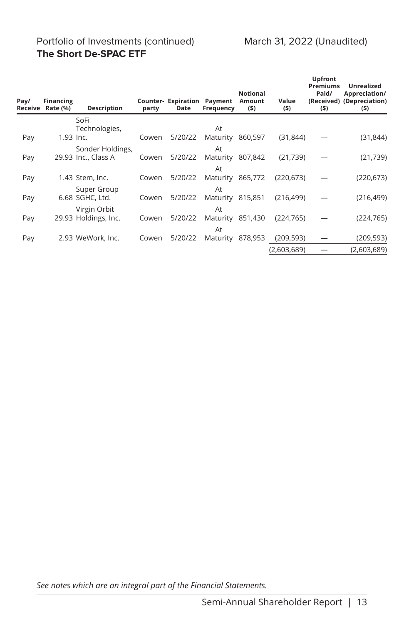# Portfolio of Investments (continued) March 31, 2022 (Unaudited) **The Short De-SPAC ETF**

| Pay/ | <b>Financing</b><br>Receive Rate (%) | <b>Description</b>             | party | Counter- Expiration Payment Amount<br>Date | Frequency        | <b>Notional</b><br>(5) | Value<br>(5) | Upfront<br><b>Premiums</b><br>Paid/<br>(5) | Unrealized<br>Appreciation/<br>(Received) (Depreciation)<br>(5) |
|------|--------------------------------------|--------------------------------|-------|--------------------------------------------|------------------|------------------------|--------------|--------------------------------------------|-----------------------------------------------------------------|
|      |                                      | SoFi                           |       |                                            |                  |                        |              |                                            |                                                                 |
|      |                                      | Technologies,                  |       |                                            | At               |                        |              |                                            |                                                                 |
| Pay  | 1.93 Inc.                            |                                | Cowen | 5/20/22                                    | Maturity 860,597 |                        | (31, 844)    |                                            | (31, 844)                                                       |
|      |                                      | Sonder Holdings,               |       |                                            | At               |                        |              |                                            |                                                                 |
| Pay  |                                      | 29.93 Inc., Class A            | Cowen | 5/20/22                                    | Maturity 807,842 |                        | (21, 739)    |                                            | (21, 739)                                                       |
|      |                                      |                                |       |                                            | At               |                        |              |                                            |                                                                 |
| Pay  |                                      | 1.43 Stem, Inc.                | Cowen | 5/20/22                                    | Maturity 865,772 |                        | (220, 673)   |                                            | (220, 673)                                                      |
|      |                                      |                                |       |                                            | At               |                        |              |                                            |                                                                 |
| Pay  |                                      | Super Group<br>6.68 SGHC, Ltd. | Cowen | 5/20/22                                    | Maturity 815,851 |                        | (216, 499)   |                                            | (216, 499)                                                      |
|      |                                      |                                |       |                                            |                  |                        |              |                                            |                                                                 |
|      |                                      | Virgin Orbit                   |       |                                            | At               |                        |              |                                            |                                                                 |
| Pay  |                                      | 29.93 Holdings, Inc.           | Cowen | 5/20/22                                    | Maturity 851,430 |                        | (224, 765)   |                                            | (224, 765)                                                      |
|      |                                      |                                |       |                                            | At               |                        |              |                                            |                                                                 |
| Pay  |                                      | 2.93 WeWork, Inc.              | Cowen | 5/20/22                                    | Maturity 878,953 |                        | (209, 593)   |                                            | (209, 593)                                                      |
|      |                                      |                                |       |                                            |                  |                        | (2,603,689)  |                                            | (2,603,689)                                                     |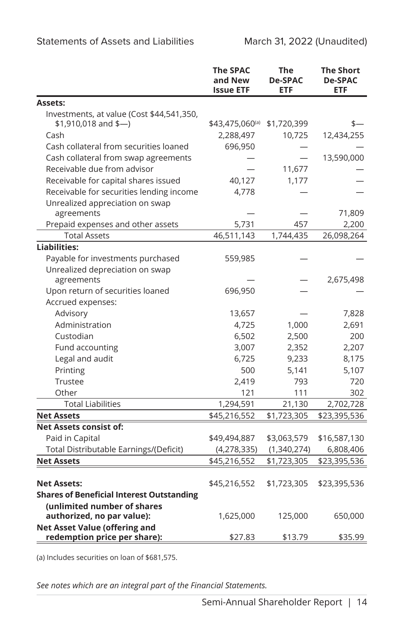|                                                                      | <b>The SPAC</b><br>and New<br><b>Issue ETF</b> | The<br><b>De-SPAC</b><br><b>ETF</b> | <b>The Short</b><br><b>De-SPAC</b><br><b>ETF</b> |
|----------------------------------------------------------------------|------------------------------------------------|-------------------------------------|--------------------------------------------------|
| <b>Assets:</b>                                                       |                                                |                                     |                                                  |
| Investments, at value (Cost \$44,541,350,<br>$$1,910,018$ and $$-$ ) | \$43,475,060(a)                                | \$1,720,399                         | \$—                                              |
| Cash                                                                 | 2,288,497                                      | 10,725                              | 12,434,255                                       |
| Cash collateral from securities loaned                               | 696,950                                        |                                     |                                                  |
| Cash collateral from swap agreements                                 |                                                |                                     | 13,590,000                                       |
| Receivable due from advisor                                          |                                                | 11,677                              |                                                  |
| Receivable for capital shares issued                                 | 40,127                                         | 1,177                               |                                                  |
| Receivable for securities lending income                             | 4,778                                          |                                     |                                                  |
| Unrealized appreciation on swap<br>agreements                        |                                                |                                     | 71,809                                           |
| Prepaid expenses and other assets                                    | 5.731                                          | 457                                 | 2,200                                            |
| <b>Total Assets</b>                                                  | 46,511,143                                     | 1,744,435                           | 26,098,264                                       |
| Liabilities:                                                         |                                                |                                     |                                                  |
| Payable for investments purchased                                    | 559,985                                        |                                     |                                                  |
| Unrealized depreciation on swap                                      |                                                |                                     |                                                  |
| agreements                                                           |                                                |                                     | 2,675,498                                        |
| Upon return of securities loaned                                     | 696,950                                        |                                     |                                                  |
| Accrued expenses:                                                    |                                                |                                     |                                                  |
| Advisory                                                             | 13,657                                         |                                     | 7,828                                            |
| Administration                                                       | 4,725                                          | 1,000                               | 2,691                                            |
| Custodian                                                            | 6,502                                          | 2,500                               | 200                                              |
| Fund accounting                                                      | 3,007                                          | 2,352                               | 2,207                                            |
| Legal and audit                                                      | 6,725                                          | 9,233                               | 8,175                                            |
| Printing                                                             | 500                                            | 5,141                               | 5,107                                            |
| Trustee                                                              | 2,419                                          | 793                                 | 720                                              |
| Other                                                                | 121                                            | 111                                 | 302                                              |
| <b>Total Liabilities</b>                                             | 1,294,591                                      | 21,130                              | 2,702,728                                        |
| <b>Net Assets</b>                                                    | \$45,216,552                                   | \$1,723,305                         | \$23,395,536                                     |
| <b>Net Assets consist of:</b>                                        |                                                |                                     |                                                  |
| Paid in Capital                                                      | \$49,494,887                                   | \$3,063,579                         | \$16,587,130                                     |
| Total Distributable Earnings/(Deficit)                               | (4,278,335)                                    | (1,340,274)                         | 6,808,406                                        |
| <b>Net Assets</b>                                                    | \$45,216,552                                   | \$1,723,305                         | \$23,395,536                                     |
|                                                                      |                                                |                                     |                                                  |
| <b>Net Assets:</b>                                                   | \$45,216,552                                   | \$1,723,305                         | \$23,395,536                                     |
| <b>Shares of Beneficial Interest Outstanding</b>                     |                                                |                                     |                                                  |
| (unlimited number of shares<br>authorized, no par value):            | 1,625,000                                      | 125,000                             | 650,000                                          |
| <b>Net Asset Value (offering and</b><br>redemption price per share): | \$27.83                                        | \$13.79                             | \$35.99                                          |

(a) Includes securities on loan of \$681,575.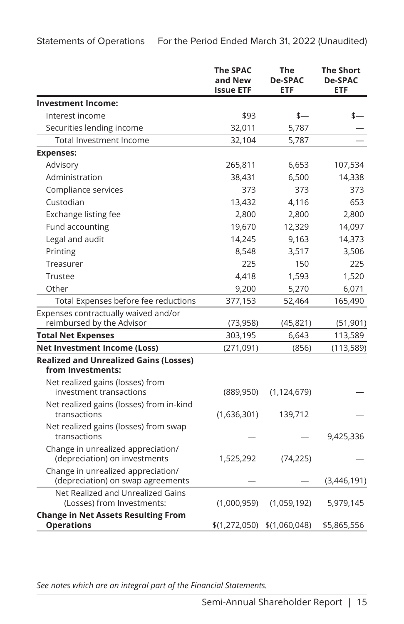|                                                                         | <b>The SPAC</b><br>and New<br><b>Issue ETF</b> | <b>The</b><br>De-SPAC<br>ETF | <b>The Short</b><br>De-SPAC<br><b>ETF</b> |
|-------------------------------------------------------------------------|------------------------------------------------|------------------------------|-------------------------------------------|
| <b>Investment Income:</b>                                               |                                                |                              |                                           |
| Interest income                                                         | \$93                                           | \$—                          | \$—                                       |
| Securities lending income                                               | 32,011                                         | 5,787                        |                                           |
| Total Investment Income                                                 | 32,104                                         | 5,787                        |                                           |
| <b>Expenses:</b>                                                        |                                                |                              |                                           |
| Advisory                                                                | 265,811                                        | 6,653                        | 107,534                                   |
| Administration                                                          | 38,431                                         | 6,500                        | 14,338                                    |
| Compliance services                                                     | 373                                            | 373                          | 373                                       |
| Custodian                                                               | 13,432                                         | 4,116                        | 653                                       |
| Exchange listing fee                                                    | 2,800                                          | 2,800                        | 2,800                                     |
| Fund accounting                                                         | 19,670                                         | 12,329                       | 14,097                                    |
| Legal and audit                                                         | 14,245                                         | 9,163                        | 14,373                                    |
| Printing                                                                | 8,548                                          | 3,517                        | 3,506                                     |
| Treasurer                                                               | 225                                            | 150                          | 225                                       |
| Trustee                                                                 | 4,418                                          | 1,593                        | 1,520                                     |
| Other                                                                   | 9,200                                          | 5,270                        | 6,071                                     |
| Total Expenses before fee reductions                                    | 377,153                                        | 52,464                       | 165,490                                   |
| Expenses contractually waived and/or                                    |                                                |                              |                                           |
| reimbursed by the Advisor                                               | (73, 958)                                      | (45,821)                     | (51, 901)                                 |
| <b>Total Net Expenses</b>                                               | 303,195                                        | 6,643                        | 113,589                                   |
| <b>Net Investment Income (Loss)</b>                                     | (271, 091)                                     | (856)                        | (113, 589)                                |
| <b>Realized and Unrealized Gains (Losses)</b><br>from Investments:      |                                                |                              |                                           |
| Net realized gains (losses) from<br>investment transactions             | (889, 950)                                     | (1, 124, 679)                |                                           |
| Net realized gains (losses) from in-kind<br>transactions                | (1,636,301)                                    | 139,712                      |                                           |
| Net realized gains (losses) from swap<br>transactions                   |                                                |                              | 9,425,336                                 |
| Change in unrealized appreciation/<br>(depreciation) on investments     | 1,525,292                                      | (74, 225)                    |                                           |
| Change in unrealized appreciation/<br>(depreciation) on swap agreements |                                                |                              | (3,446,191)                               |
| Net Realized and Unrealized Gains<br>(Losses) from Investments:         | (1,000,959)                                    | (1,059,192)                  | 5,979,145                                 |
| <b>Change in Net Assets Resulting From</b><br><b>Operations</b>         | \$(1,272,050)                                  | \$(1,060,048)                | \$5,865,556                               |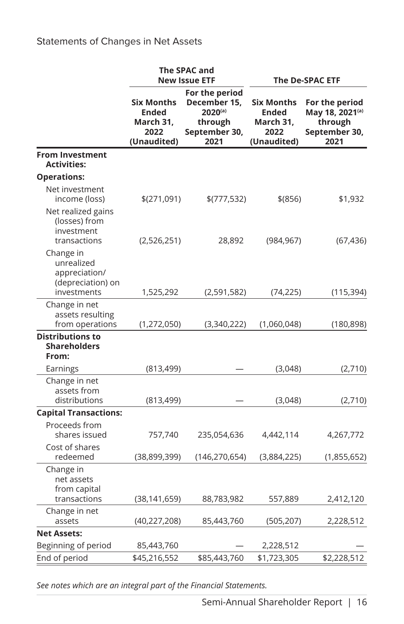|                                                                              | The SPAC and<br><b>New Issue ETF</b>             |                                                  | <b>The De-SPAC ETF</b>                           |                                                     |  |
|------------------------------------------------------------------------------|--------------------------------------------------|--------------------------------------------------|--------------------------------------------------|-----------------------------------------------------|--|
|                                                                              | <b>Six Months</b>                                | For the period<br>December 15,                   | <b>Six Months</b>                                | For the period                                      |  |
|                                                                              | <b>Ended</b><br>March 31,<br>2022<br>(Unaudited) | $2020^{(a)}$<br>through<br>September 30,<br>2021 | <b>Ended</b><br>March 31,<br>2022<br>(Unaudited) | May 18, 2021(a)<br>through<br>September 30,<br>2021 |  |
| <b>From Investment</b><br><b>Activities:</b>                                 |                                                  |                                                  |                                                  |                                                     |  |
| <b>Operations:</b>                                                           |                                                  |                                                  |                                                  |                                                     |  |
| Net investment<br>income (loss)                                              | \$(271,091)                                      | \$(777, 532)                                     | $$$ (856)                                        | \$1,932                                             |  |
| Net realized gains<br>(losses) from<br>investment<br>transactions            | (2,526,251)                                      | 28,892                                           | (984, 967)                                       | (67, 436)                                           |  |
| Change in<br>unrealized<br>appreciation/<br>(depreciation) on<br>investments | 1,525,292                                        | (2,591,582)                                      | (74, 225)                                        | (115, 394)                                          |  |
| Change in net                                                                |                                                  |                                                  |                                                  |                                                     |  |
| assets resulting<br>from operations                                          | (1, 272, 050)                                    | (3,340,222)                                      | (1,060,048)                                      | (180, 898)                                          |  |
| <b>Distributions to</b><br><b>Shareholders</b><br>From:                      |                                                  |                                                  |                                                  |                                                     |  |
| Earnings                                                                     | (813,499)                                        |                                                  | (3,048)                                          | (2,710)                                             |  |
| Change in net<br>assets from<br>distributions                                | (813, 499)                                       |                                                  | (3,048)                                          | (2,710)                                             |  |
| <b>Capital Transactions:</b>                                                 |                                                  |                                                  |                                                  |                                                     |  |
| Proceeds from<br>shares issued                                               | 757,740                                          | 235,054,636                                      | 4,442,114                                        | 4,267,772                                           |  |
| Cost of shares<br>redeemed                                                   | (38,899,399)                                     | (146,270,654)                                    | (3,884,225)                                      | (1,855,652)                                         |  |
| Change in<br>net assets<br>from capital                                      |                                                  |                                                  |                                                  |                                                     |  |
| transactions                                                                 | (38, 141, 659)                                   | 88,783,982                                       | 557,889                                          | 2,412,120                                           |  |
| Change in net<br>assets                                                      | (40, 227, 208)                                   | 85,443,760                                       | (505, 207)                                       | 2,228,512                                           |  |
| <b>Net Assets:</b>                                                           |                                                  |                                                  |                                                  |                                                     |  |
| Beginning of period                                                          | 85,443,760                                       |                                                  | 2,228,512                                        |                                                     |  |
| End of period                                                                | \$45,216,552                                     | \$85,443,760                                     | \$1,723,305                                      | \$2,228,512                                         |  |

*See notes which are an integral part of the Financial Statements.*

Semi-Annual Shareholder Report | 16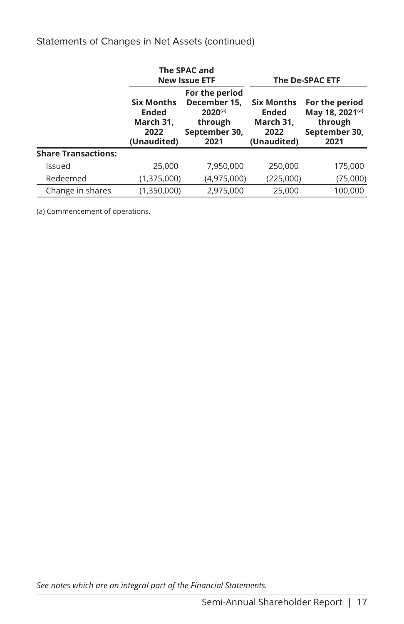Statements of Changes in Net Assets (continued)

|                            |                                                                       | The SPAC and<br><b>New Issue ETF</b>                                               |                                                                       | <b>The De-SPAC ETF</b>                                                            |
|----------------------------|-----------------------------------------------------------------------|------------------------------------------------------------------------------------|-----------------------------------------------------------------------|-----------------------------------------------------------------------------------|
|                            | <b>Six Months</b><br><b>Ended</b><br>March 31,<br>2022<br>(Unaudited) | For the period<br>December 15,<br>$2020^{(a)}$<br>through<br>September 30,<br>2021 | <b>Six Months</b><br><b>Ended</b><br>March 31,<br>2022<br>(Unaudited) | For the period<br>May 18, 2021 <sup>(a)</sup><br>through<br>September 30,<br>2021 |
| <b>Share Transactions:</b> |                                                                       |                                                                                    |                                                                       |                                                                                   |
| Issued                     | 25,000                                                                | 7,950,000                                                                          | 250,000                                                               | 175,000                                                                           |
| Redeemed                   | (1,375,000)                                                           | (4,975,000)                                                                        | (225,000)                                                             | (75,000)                                                                          |
| Change in shares           | (1.350.000)                                                           | 2,975,000                                                                          | 25,000                                                                | 100,000                                                                           |

(a) Commencement of operations.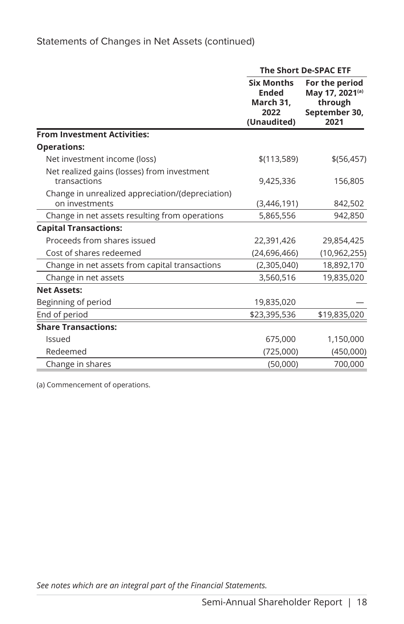|                                                                    | The Short De-SPAC ETF                                                 |                                                                       |  |
|--------------------------------------------------------------------|-----------------------------------------------------------------------|-----------------------------------------------------------------------|--|
|                                                                    | <b>Six Months</b><br><b>Ended</b><br>March 31,<br>2022<br>(Unaudited) | For the period<br>May 17, 2021(a)<br>through<br>September 30,<br>2021 |  |
| <b>From Investment Activities:</b>                                 |                                                                       |                                                                       |  |
| <b>Operations:</b>                                                 |                                                                       |                                                                       |  |
| Net investment income (loss)                                       | \$(113,589)                                                           | \$ (56, 457)                                                          |  |
| Net realized gains (losses) from investment<br>transactions        | 9,425,336                                                             | 156,805                                                               |  |
| Change in unrealized appreciation/(depreciation)<br>on investments | (3,446,191)                                                           | 842,502                                                               |  |
| Change in net assets resulting from operations                     | 5,865,556                                                             | 942,850                                                               |  |
| <b>Capital Transactions:</b>                                       |                                                                       |                                                                       |  |
| Proceeds from shares issued                                        | 22,391,426                                                            | 29,854,425                                                            |  |
| Cost of shares redeemed                                            | (24,696,466)                                                          | (10, 962, 255)                                                        |  |
| Change in net assets from capital transactions                     | (2,305,040)                                                           | 18,892,170                                                            |  |
| Change in net assets                                               | 3,560,516                                                             | 19,835,020                                                            |  |
| <b>Net Assets:</b>                                                 |                                                                       |                                                                       |  |
| Beginning of period                                                | 19,835,020                                                            |                                                                       |  |
| End of period                                                      | \$23,395,536                                                          | \$19,835,020                                                          |  |
| <b>Share Transactions:</b>                                         |                                                                       |                                                                       |  |
| Issued                                                             | 675,000                                                               | 1,150,000                                                             |  |
| Redeemed                                                           | (725,000)                                                             | (450,000)                                                             |  |
| Change in shares                                                   | (50,000)                                                              | 700,000                                                               |  |

(a) Commencement of operations.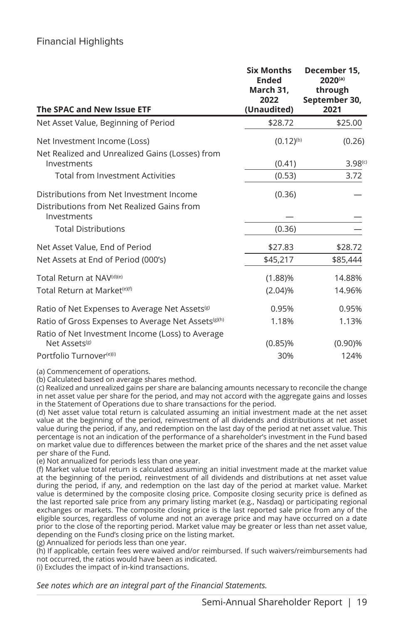# Financial Highlights

| The SPAC and New Issue ETF                                                                                                                       | <b>Six Months</b><br><b>Ended</b><br>March 31.<br>2022<br>(Unaudited) | December 15.<br>$2020^{(a)}$<br>through<br>September 30,<br>2021 |
|--------------------------------------------------------------------------------------------------------------------------------------------------|-----------------------------------------------------------------------|------------------------------------------------------------------|
| Net Asset Value, Beginning of Period                                                                                                             | \$28.72                                                               | \$25.00                                                          |
| Net Investment Income (Loss)<br>Net Realized and Unrealized Gains (Losses) from                                                                  | $(0.12)^{(b)}$                                                        | (0.26)                                                           |
| Investments                                                                                                                                      | (0.41)                                                                | 3.98 <sup>(c)</sup>                                              |
| <b>Total from Investment Activities</b>                                                                                                          | (0.53)                                                                | 3.72                                                             |
| Distributions from Net Investment Income<br>Distributions from Net Realized Gains from<br>Investments<br><b>Total Distributions</b>              | (0.36)<br>(0.36)                                                      |                                                                  |
| Net Asset Value, End of Period                                                                                                                   | \$27.83                                                               | \$28.72                                                          |
| Net Assets at End of Period (000's)                                                                                                              | \$45,217                                                              | \$85,444                                                         |
| Total Return at NAV(d)(e)<br>Total Return at Market <sup>(e)(f)</sup>                                                                            | (1.88)%<br>(2.04)%                                                    | 14.88%<br>14.96%                                                 |
| Ratio of Net Expenses to Average Net Assets <sup>(g)</sup>                                                                                       | 0.95%                                                                 | 0.95%                                                            |
| Ratio of Gross Expenses to Average Net Assets <sup>(g)(h)</sup><br>Ratio of Net Investment Income (Loss) to Average<br>Net Assets <sup>(g)</sup> | 1.18%                                                                 | 1.13%                                                            |
| Portfolio Turnover <sup>(e)(i)</sup>                                                                                                             | (0.85)%<br>30%                                                        | (0.90)%<br>124%                                                  |
|                                                                                                                                                  |                                                                       |                                                                  |

(a) Commencement of operations.

(b) Calculated based on average shares method.

(c) Realized and unrealized gains per share are balancing amounts necessary to reconcile the change in net asset value per share for the period, and may not accord with the aggregate gains and losses in the Statement of Operations due to share transactions for the period.

(d) Net asset value total return is calculated assuming an initial investment made at the net asset value at the beginning of the period, reinvestment of all dividends and distributions at net asset value during the period, if any, and redemption on the last day of the period at net asset value. This percentage is not an indication of the performance of a shareholder's investment in the Fund based on market value due to differences between the market price of the shares and the net asset value per share of the Fund.

(e) Not annualized for periods less than one year.

(f) Market value total return is calculated assuming an initial investment made at the market value at the beginning of the period, reinvestment of all dividends and distributions at net asset value during the period, if any, and redemption on the last day of the period at market value. Market value is determined by the composite closing price. Composite closing security price is defined as the last reported sale price from any primary listing market (e.g., Nasdaq) or participating regional exchanges or markets. The composite closing price is the last reported sale price from any of the eligible sources, regardless of volume and not an average price and may have occurred on a date prior to the close of the reporting period. Market value may be greater or less than net asset value, depending on the Fund's closing price on the listing market.

(g) Annualized for periods less than one year.

(h) If applicable, certain fees were waived and/or reimbursed. If such waivers/reimbursements had not occurred, the ratios would have been as indicated.

(i) Excludes the impact of in-kind transactions.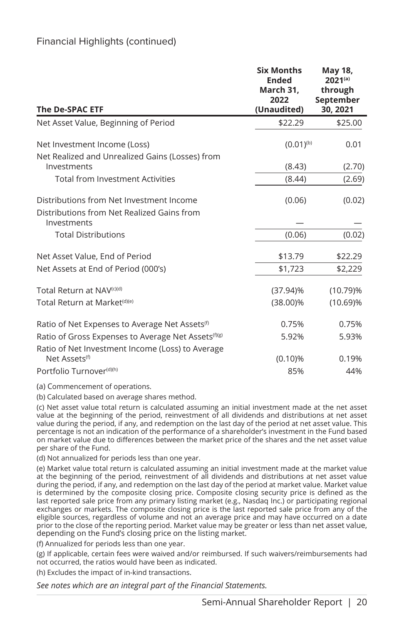# Financial Highlights (continued)

| <b>The De-SPAC ETF</b>                                                                                                                                                                                         | <b>Six Months</b><br><b>Ended</b><br>March 31,<br>2022<br>(Unaudited) | May 18,<br>$2021^{(a)}$<br>through<br>September<br>30, 2021 |
|----------------------------------------------------------------------------------------------------------------------------------------------------------------------------------------------------------------|-----------------------------------------------------------------------|-------------------------------------------------------------|
| Net Asset Value, Beginning of Period                                                                                                                                                                           | \$22.29                                                               | \$25.00                                                     |
| Net Investment Income (Loss)                                                                                                                                                                                   | $(0.01)^{(b)}$                                                        | 0.01                                                        |
| Net Realized and Unrealized Gains (Losses) from<br>Investments                                                                                                                                                 | (8.43)                                                                | (2.70)                                                      |
| <b>Total from Investment Activities</b>                                                                                                                                                                        | (8.44)                                                                | (2.69)                                                      |
| Distributions from Net Investment Income<br>Distributions from Net Realized Gains from<br>Investments                                                                                                          | (0.06)                                                                | (0.02)                                                      |
| <b>Total Distributions</b>                                                                                                                                                                                     | (0.06)                                                                | (0.02)                                                      |
| Net Asset Value, End of Period<br>Net Assets at End of Period (000's)                                                                                                                                          | \$13.79<br>\$1,723                                                    | \$22.29<br>\$2,229                                          |
| Total Return at NAV <sup>(c)(d)</sup><br>Total Return at Market <sup>(d)(e)</sup>                                                                                                                              | $(37.94)\%$<br>$(38.00)\%$                                            | (10.79)%<br>(10.69)%                                        |
| Ratio of Net Expenses to Average Net Assets <sup>(f)</sup><br>Ratio of Gross Expenses to Average Net Assets <sup>(f)(g)</sup><br>Ratio of Net Investment Income (Loss) to Average<br>Net Assets <sup>(f)</sup> | 0.75%<br>5.92%<br>(0.10)%                                             | 0.75%<br>5.93%<br>0.19%                                     |
| Portfolio Turnover <sup>(d)(h)</sup>                                                                                                                                                                           | 85%                                                                   | 44%                                                         |

(a) Commencement of operations.

(b) Calculated based on average shares method.

(c) Net asset value total return is calculated assuming an initial investment made at the net asset value at the beginning of the period, reinvestment of all dividends and distributions at net asset value during the period, if any, and redemption on the last day of the period at net asset value. This percentage is not an indication of the performance of a shareholder's investment in the Fund based on market value due to differences between the market price of the shares and the net asset value per share of the Fund.

(d) Not annualized for periods less than one year.

(e) Market value total return is calculated assuming an initial investment made at the market value at the beginning of the period, reinvestment of all dividends and distributions at net asset value during the period, if any, and redemption on the last day of the period at market value. Market value is determined by the composite closing price. Composite closing security price is defined as the last reported sale price from any primary listing market (e.g., Nasdaq Inc.) or participating regional exchanges or markets. The composite closing price is the last reported sale price from any of the eligible sources, regardless of volume and not an average price and may have occurred on a date prior to the close of the reporting period. Market value may be greater or less than net asset value, depending on the Fund's closing price on the listing market.

(f) Annualized for periods less than one year.

(g) If applicable, certain fees were waived and/or reimbursed. If such waivers/reimbursements had not occurred, the ratios would have been as indicated.

(h) Excludes the impact of in-kind transactions.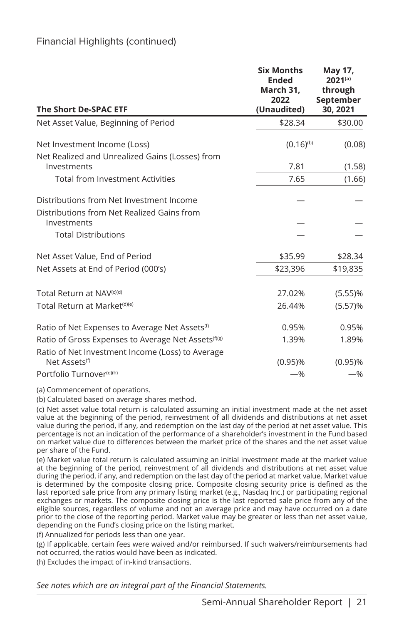# Financial Highlights (continued)

| <b>The Short De-SPAC ETF</b>                                                           | <b>Six Months</b><br><b>Ended</b><br>March 31,<br>2022<br>(Unaudited) | May 17,<br>$2021^{(a)}$<br>through<br>September<br>30, 2021 |
|----------------------------------------------------------------------------------------|-----------------------------------------------------------------------|-------------------------------------------------------------|
| Net Asset Value, Beginning of Period                                                   | \$28.34                                                               | \$30.00                                                     |
| Net Investment Income (Loss)                                                           | $(0.16)^{(b)}$                                                        | (0.08)                                                      |
| Net Realized and Unrealized Gains (Losses) from<br>Investments                         | 7.81                                                                  | (1.58)                                                      |
| <b>Total from Investment Activities</b>                                                | 7.65                                                                  | (1.66)                                                      |
| Distributions from Net Investment Income<br>Distributions from Net Realized Gains from |                                                                       |                                                             |
| Investments                                                                            |                                                                       |                                                             |
| <b>Total Distributions</b>                                                             |                                                                       |                                                             |
| Net Asset Value, End of Period                                                         | \$35.99                                                               | \$28.34                                                     |
| Net Assets at End of Period (000's)                                                    | \$23,396                                                              | \$19,835                                                    |
| Total Return at NAV <sup>(c)(d)</sup>                                                  | 27.02%                                                                | (5.55)%                                                     |
| Total Return at Market <sup>(d)(e)</sup>                                               | 26.44%                                                                | (5.57)%                                                     |
| Ratio of Net Expenses to Average Net Assets <sup>(f)</sup>                             | 0.95%                                                                 | 0.95%                                                       |
| Ratio of Gross Expenses to Average Net Assets <sup>(f)(g)</sup>                        | 1.39%                                                                 | 1.89%                                                       |
| Ratio of Net Investment Income (Loss) to Average<br>Net Assets <sup>(f)</sup>          | $(0.95)$ %                                                            | (0.95)%                                                     |
| Portfolio Turnover <sup>(d)(h)</sup>                                                   | $-$ %                                                                 | $-$ %                                                       |

(a) Commencement of operations.

(b) Calculated based on average shares method.

(c) Net asset value total return is calculated assuming an initial investment made at the net asset value at the beginning of the period, reinvestment of all dividends and distributions at net asset value during the period, if any, and redemption on the last day of the period at net asset value. This percentage is not an indication of the performance of a shareholder's investment in the Fund based on market value due to differences between the market price of the shares and the net asset value per share of the Fund.

(e) Market value total return is calculated assuming an initial investment made at the market value at the beginning of the period, reinvestment of all dividends and distributions at net asset value during the period, if any, and redemption on the last day of the period at market value. Market value is determined by the composite closing price. Composite closing security price is defined as the last reported sale price from any primary listing market (e.g., Nasdaq Inc.) or participating regional exchanges or markets. The composite closing price is the last reported sale price from any of the eligible sources, regardless of volume and not an average price and may have occurred on a date prior to the close of the reporting period. Market value may be greater or less than net asset value, depending on the Fund's closing price on the listing market.

(f) Annualized for periods less than one year.

(g) If applicable, certain fees were waived and/or reimbursed. If such waivers/reimbursements had not occurred, the ratios would have been as indicated.

(h) Excludes the impact of in-kind transactions.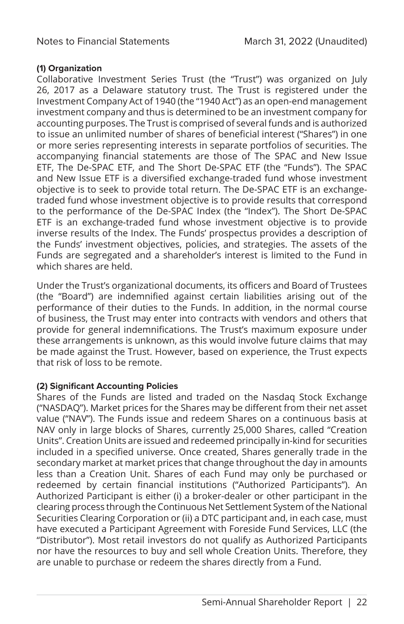#### **(1) Organization**

Collaborative Investment Series Trust (the "Trust") was organized on July 26, 2017 as a Delaware statutory trust. The Trust is registered under the Investment Company Act of 1940 (the "1940 Act") as an open-end management investment company and thus is determined to be an investment company for accounting purposes. The Trust is comprised of several funds and is authorized to issue an unlimited number of shares of beneficial interest ("Shares") in one or more series representing interests in separate portfolios of securities. The accompanying financial statements are those of The SPAC and New Issue ETF, The De-SPAC ETF, and The Short De-SPAC ETF (the "Funds"). The SPAC and New Issue ETF is a diversified exchange-traded fund whose investment objective is to seek to provide total return. The De-SPAC ETF is an exchangetraded fund whose investment objective is to provide results that correspond to the performance of the De-SPAC Index (the "Index"). The Short De-SPAC ETF is an exchange-traded fund whose investment objective is to provide inverse results of the Index. The Funds' prospectus provides a description of the Funds' investment objectives, policies, and strategies. The assets of the Funds are segregated and a shareholder's interest is limited to the Fund in which shares are held.

Under the Trust's organizational documents, its officers and Board of Trustees (the "Board") are indemnified against certain liabilities arising out of the performance of their duties to the Funds. In addition, in the normal course of business, the Trust may enter into contracts with vendors and others that provide for general indemnifications. The Trust's maximum exposure under these arrangements is unknown, as this would involve future claims that may be made against the Trust. However, based on experience, the Trust expects that risk of loss to be remote.

#### **(2) Significant Accounting Policies**

Shares of the Funds are listed and traded on the Nasdaq Stock Exchange ("NASDAQ"). Market prices for the Shares may be different from their net asset value ("NAV"). The Funds issue and redeem Shares on a continuous basis at NAV only in large blocks of Shares, currently 25,000 Shares, called "Creation Units". Creation Units are issued and redeemed principally in-kind for securities included in a specified universe. Once created, Shares generally trade in the secondary market at market prices that change throughout the day in amounts less than a Creation Unit. Shares of each Fund may only be purchased or redeemed by certain financial institutions ("Authorized Participants"). An Authorized Participant is either (i) a broker-dealer or other participant in the clearing process through the Continuous Net Settlement System of the National Securities Clearing Corporation or (ii) a DTC participant and, in each case, must have executed a Participant Agreement with Foreside Fund Services, LLC (the "Distributor"). Most retail investors do not qualify as Authorized Participants nor have the resources to buy and sell whole Creation Units. Therefore, they are unable to purchase or redeem the shares directly from a Fund.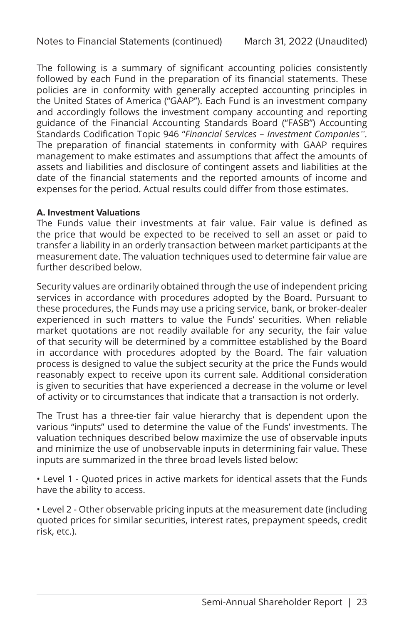Notes to Financial Statements (continued) March 31, 2022 (Unaudited)

The following is a summary of significant accounting policies consistently followed by each Fund in the preparation of its financial statements. These policies are in conformity with generally accepted accounting principles in the United States of America ("GAAP"). Each Fund is an investment company and accordingly follows the investment company accounting and reporting guidance of the Financial Accounting Standards Board ("FASB") Accounting Standards Codification Topic 946 "*Financial Services – Investment Companies"*. The preparation of financial statements in conformity with GAAP requires management to make estimates and assumptions that affect the amounts of assets and liabilities and disclosure of contingent assets and liabilities at the date of the financial statements and the reported amounts of income and expenses for the period. Actual results could differ from those estimates.

# **A. Investment Valuations**

The Funds value their investments at fair value. Fair value is defined as the price that would be expected to be received to sell an asset or paid to transfer a liability in an orderly transaction between market participants at the measurement date. The valuation techniques used to determine fair value are further described below.

Security values are ordinarily obtained through the use of independent pricing services in accordance with procedures adopted by the Board. Pursuant to these procedures, the Funds may use a pricing service, bank, or broker-dealer experienced in such matters to value the Funds' securities. When reliable market quotations are not readily available for any security, the fair value of that security will be determined by a committee established by the Board in accordance with procedures adopted by the Board. The fair valuation process is designed to value the subject security at the price the Funds would reasonably expect to receive upon its current sale. Additional consideration is given to securities that have experienced a decrease in the volume or level of activity or to circumstances that indicate that a transaction is not orderly.

The Trust has a three-tier fair value hierarchy that is dependent upon the various "inputs" used to determine the value of the Funds' investments. The valuation techniques described below maximize the use of observable inputs and minimize the use of unobservable inputs in determining fair value. These inputs are summarized in the three broad levels listed below:

• Level 1 - Quoted prices in active markets for identical assets that the Funds have the ability to access.

• Level 2 - Other observable pricing inputs at the measurement date (including quoted prices for similar securities, interest rates, prepayment speeds, credit risk, etc.).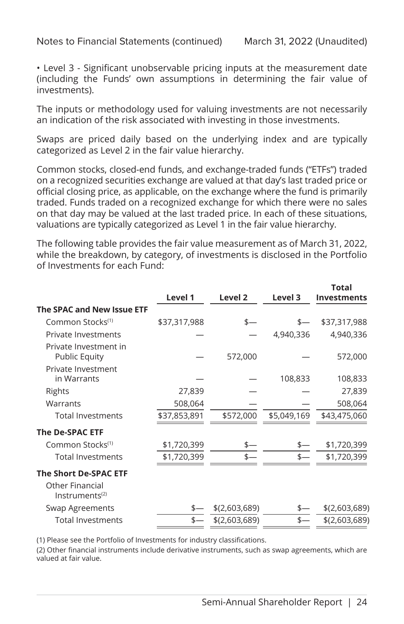• Level 3 - Significant unobservable pricing inputs at the measurement date (including the Funds' own assumptions in determining the fair value of investments).

The inputs or methodology used for valuing investments are not necessarily an indication of the risk associated with investing in those investments.

Swaps are priced daily based on the underlying index and are typically categorized as Level 2 in the fair value hierarchy.

Common stocks, closed-end funds, and exchange-traded funds ("ETFs") traded on a recognized securities exchange are valued at that day's last traded price or official closing price, as applicable, on the exchange where the fund is primarily traded. Funds traded on a recognized exchange for which there were no sales on that day may be valued at the last traded price. In each of these situations, valuations are typically categorized as Level 1 in the fair value hierarchy.

The following table provides the fair value measurement as of March 31, 2022, while the breakdown, by category, of investments is disclosed in the Portfolio of Investments for each Fund:

|                                                      |              |               |             | Total              |
|------------------------------------------------------|--------------|---------------|-------------|--------------------|
|                                                      | Level 1      | Level 2       | Level 3     | <b>Investments</b> |
| The SPAC and New Issue ETF                           |              |               |             |                    |
| Common Stocks <sup>(1)</sup>                         | \$37,317,988 | $s-$          | s—          | \$37,317,988       |
| Private Investments                                  |              |               | 4,940,336   | 4,940,336          |
| Private Investment in<br><b>Public Equity</b>        |              | 572,000       |             | 572,000            |
| Private Investment<br>in Warrants                    |              |               | 108,833     | 108,833            |
| Rights                                               | 27,839       |               |             | 27,839             |
| Warrants                                             | 508,064      |               |             | 508,064            |
| <b>Total Investments</b>                             | \$37,853,891 | \$572,000     | \$5,049,169 | \$43,475,060       |
| <b>The De-SPAC ETF</b>                               |              |               |             |                    |
| Common Stocks <sup>(1)</sup>                         | \$1,720,399  | \$–           | \$—         | \$1,720,399        |
| <b>Total Investments</b>                             | \$1,720,399  | $\frac{1}{2}$ | $$-$        | \$1,720,399        |
| <b>The Short De-SPAC ETF</b>                         |              |               |             |                    |
| <b>Other Financial</b><br>Instruments <sup>(2)</sup> |              |               |             |                    |
| Swap Agreements                                      |              | \$(2,603,689) | s—          | \$(2,603,689)      |
| <b>Total Investments</b>                             | $s-$         | \$(2,603,689) | \$—         | \$(2,603,689)      |

(1) Please see the Portfolio of Investments for industry classifications.

(2) Other financial instruments include derivative instruments, such as swap agreements, which are valued at fair value.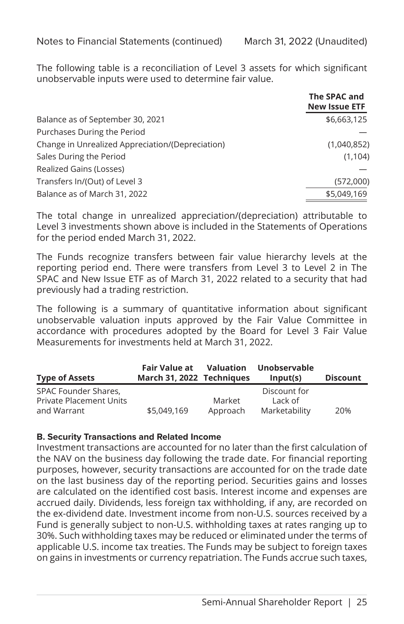The following table is a reconciliation of Level 3 assets for which significant unobservable inputs were used to determine fair value.

|                                                  | The SPAC and<br><b>New Issue ETF</b> |
|--------------------------------------------------|--------------------------------------|
| Balance as of September 30, 2021                 | \$6,663,125                          |
| Purchases During the Period                      |                                      |
| Change in Unrealized Appreciation/(Depreciation) | (1,040,852)                          |
| Sales During the Period                          | (1, 104)                             |
| Realized Gains (Losses)                          |                                      |
| Transfers In/(Out) of Level 3                    | (572,000)                            |
| Balance as of March 31, 2022                     | \$5,049,169                          |

The total change in unrealized appreciation/(depreciation) attributable to Level 3 investments shown above is included in the Statements of Operations for the period ended March 31, 2022.

The Funds recognize transfers between fair value hierarchy levels at the reporting period end. There were transfers from Level 3 to Level 2 in The SPAC and New Issue ETF as of March 31, 2022 related to a security that had previously had a trading restriction.

The following is a summary of quantitative information about significant unobservable valuation inputs approved by the Fair Value Committee in accordance with procedures adopted by the Board for Level 3 Fair Value Measurements for investments held at March 31, 2022.

| <b>Type of Assets</b>          | <b>Fair Value at</b><br>March 31, 2022 Techniques | <b>Valuation</b> | Unobservable<br>Input(s) | <b>Discount</b> |
|--------------------------------|---------------------------------------------------|------------------|--------------------------|-----------------|
| SPAC Founder Shares.           |                                                   |                  | Discount for             |                 |
| <b>Private Placement Units</b> |                                                   | Market           | Lack of                  |                 |
| and Warrant                    | \$5,049,169                                       | Approach         | Marketability            | 20%             |

#### **B. Security Transactions and Related Income**

Investment transactions are accounted for no later than the first calculation of the NAV on the business day following the trade date. For financial reporting purposes, however, security transactions are accounted for on the trade date on the last business day of the reporting period. Securities gains and losses are calculated on the identified cost basis. Interest income and expenses are accrued daily. Dividends, less foreign tax withholding, if any, are recorded on the ex-dividend date. Investment income from non-U.S. sources received by a Fund is generally subject to non-U.S. withholding taxes at rates ranging up to 30%. Such withholding taxes may be reduced or eliminated under the terms of applicable U.S. income tax treaties. The Funds may be subject to foreign taxes on gains in investments or currency repatriation. The Funds accrue such taxes,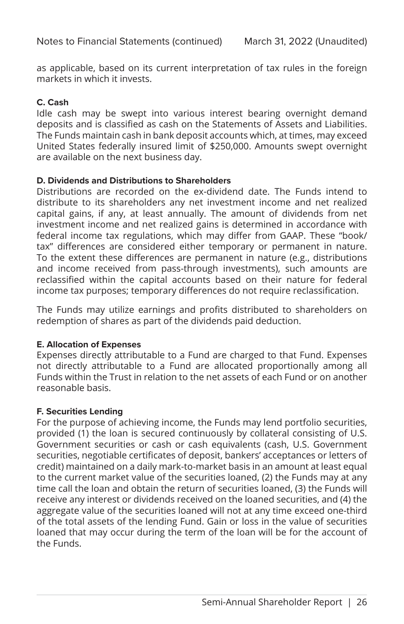as applicable, based on its current interpretation of tax rules in the foreign markets in which it invests.

# **C. Cash**

Idle cash may be swept into various interest bearing overnight demand deposits and is classified as cash on the Statements of Assets and Liabilities. The Funds maintain cash in bank deposit accounts which, at times, may exceed United States federally insured limit of \$250,000. Amounts swept overnight are available on the next business day.

# **D. Dividends and Distributions to Shareholders**

Distributions are recorded on the ex-dividend date. The Funds intend to distribute to its shareholders any net investment income and net realized capital gains, if any, at least annually. The amount of dividends from net investment income and net realized gains is determined in accordance with federal income tax regulations, which may differ from GAAP. These "book/ tax" differences are considered either temporary or permanent in nature. To the extent these differences are permanent in nature (e.g., distributions and income received from pass-through investments), such amounts are reclassified within the capital accounts based on their nature for federal income tax purposes; temporary differences do not require reclassification.

The Funds may utilize earnings and profits distributed to shareholders on redemption of shares as part of the dividends paid deduction.

# **E. Allocation of Expenses**

Expenses directly attributable to a Fund are charged to that Fund. Expenses not directly attributable to a Fund are allocated proportionally among all Funds within the Trust in relation to the net assets of each Fund or on another reasonable basis.

#### **F. Securities Lending**

For the purpose of achieving income, the Funds may lend portfolio securities, provided (1) the loan is secured continuously by collateral consisting of U.S. Government securities or cash or cash equivalents (cash, U.S. Government securities, negotiable certificates of deposit, bankers' acceptances or letters of credit) maintained on a daily mark-to-market basis in an amount at least equal to the current market value of the securities loaned, (2) the Funds may at any time call the loan and obtain the return of securities loaned, (3) the Funds will receive any interest or dividends received on the loaned securities, and (4) the aggregate value of the securities loaned will not at any time exceed one-third of the total assets of the lending Fund. Gain or loss in the value of securities loaned that may occur during the term of the loan will be for the account of the Funds.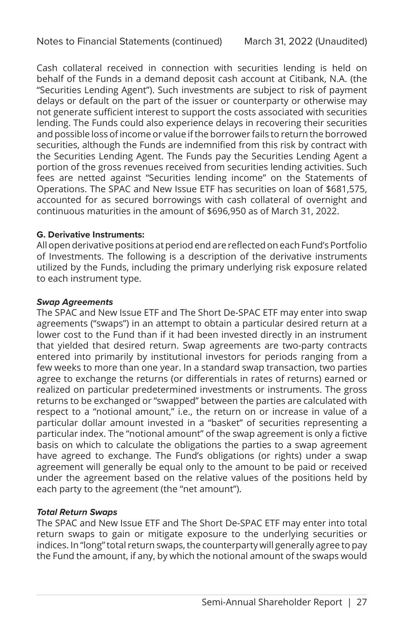Notes to Financial Statements (continued) March 31, 2022 (Unaudited)

Cash collateral received in connection with securities lending is held on behalf of the Funds in a demand deposit cash account at Citibank, N.A. (the "Securities Lending Agent"). Such investments are subject to risk of payment delays or default on the part of the issuer or counterparty or otherwise may not generate sufficient interest to support the costs associated with securities lending. The Funds could also experience delays in recovering their securities and possible loss of income or value if the borrower fails to return the borrowed securities, although the Funds are indemnified from this risk by contract with the Securities Lending Agent. The Funds pay the Securities Lending Agent a portion of the gross revenues received from securities lending activities. Such fees are netted against "Securities lending income" on the Statements of Operations. The SPAC and New Issue ETF has securities on loan of \$681,575, accounted for as secured borrowings with cash collateral of overnight and continuous maturities in the amount of \$696,950 as of March 31, 2022.

#### **G. Derivative Instruments:**

All open derivative positions at period end are reflected on each Fund's Portfolio of Investments. The following is a description of the derivative instruments utilized by the Funds, including the primary underlying risk exposure related to each instrument type.

#### *Swap Agreements*

The SPAC and New Issue ETF and The Short De-SPAC ETF may enter into swap agreements ("swaps") in an attempt to obtain a particular desired return at a lower cost to the Fund than if it had been invested directly in an instrument that yielded that desired return. Swap agreements are two-party contracts entered into primarily by institutional investors for periods ranging from a few weeks to more than one year. In a standard swap transaction, two parties agree to exchange the returns (or differentials in rates of returns) earned or realized on particular predetermined investments or instruments. The gross returns to be exchanged or "swapped" between the parties are calculated with respect to a "notional amount," i.e., the return on or increase in value of a particular dollar amount invested in a "basket" of securities representing a particular index. The "notional amount" of the swap agreement is only a fictive basis on which to calculate the obligations the parties to a swap agreement have agreed to exchange. The Fund's obligations (or rights) under a swap agreement will generally be equal only to the amount to be paid or received under the agreement based on the relative values of the positions held by each party to the agreement (the "net amount").

# *Total Return Swaps*

The SPAC and New Issue ETF and The Short De-SPAC ETF may enter into total return swaps to gain or mitigate exposure to the underlying securities or indices. In "long" total return swaps, the counterparty will generally agree to pay the Fund the amount, if any, by which the notional amount of the swaps would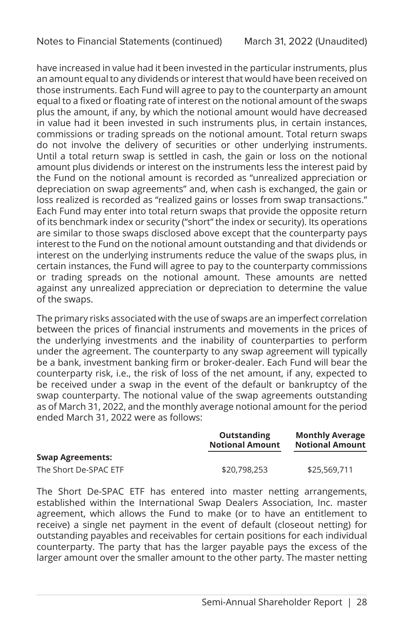have increased in value had it been invested in the particular instruments, plus an amount equal to any dividends or interest that would have been received on those instruments. Each Fund will agree to pay to the counterparty an amount equal to a fixed or floating rate of interest on the notional amount of the swaps plus the amount, if any, by which the notional amount would have decreased in value had it been invested in such instruments plus, in certain instances, commissions or trading spreads on the notional amount. Total return swaps do not involve the delivery of securities or other underlying instruments. Until a total return swap is settled in cash, the gain or loss on the notional amount plus dividends or interest on the instruments less the interest paid by the Fund on the notional amount is recorded as "unrealized appreciation or depreciation on swap agreements" and, when cash is exchanged, the gain or loss realized is recorded as "realized gains or losses from swap transactions." Each Fund may enter into total return swaps that provide the opposite return of its benchmark index or security ("short" the index or security). Its operations are similar to those swaps disclosed above except that the counterparty pays interest to the Fund on the notional amount outstanding and that dividends or interest on the underlying instruments reduce the value of the swaps plus, in certain instances, the Fund will agree to pay to the counterparty commissions or trading spreads on the notional amount. These amounts are netted against any unrealized appreciation or depreciation to determine the value of the swaps.

The primary risks associated with the use of swaps are an imperfect correlation between the prices of financial instruments and movements in the prices of the underlying investments and the inability of counterparties to perform under the agreement. The counterparty to any swap agreement will typically be a bank, investment banking firm or broker-dealer. Each Fund will bear the counterparty risk, i.e., the risk of loss of the net amount, if any, expected to be received under a swap in the event of the default or bankruptcy of the swap counterparty. The notional value of the swap agreements outstanding as of March 31, 2022, and the monthly average notional amount for the period ended March 31, 2022 were as follows:

|                         | <b>Outstanding</b><br><b>Notional Amount</b> | <b>Monthly Average</b><br><b>Notional Amount</b> |
|-------------------------|----------------------------------------------|--------------------------------------------------|
| <b>Swap Agreements:</b> |                                              |                                                  |
| The Short De-SPAC ETF   | \$20,798,253                                 | \$25,569,711                                     |

The Short De-SPAC ETF has entered into master netting arrangements, established within the International Swap Dealers Association, Inc. master agreement, which allows the Fund to make (or to have an entitlement to receive) a single net payment in the event of default (closeout netting) for outstanding payables and receivables for certain positions for each individual counterparty. The party that has the larger payable pays the excess of the larger amount over the smaller amount to the other party. The master netting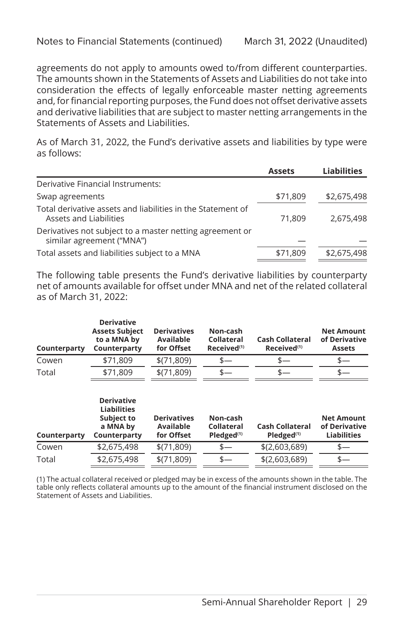agreements do not apply to amounts owed to/from different counterparties. The amounts shown in the Statements of Assets and Liabilities do not take into consideration the effects of legally enforceable master netting agreements and, for financial reporting purposes, the Fund does not offset derivative assets and derivative liabilities that are subject to master netting arrangements in the Statements of Assets and Liabilities.

As of March 31, 2022, the Fund's derivative assets and liabilities by type were as follows:

|                                                                                       | <b>Assets</b> | <b>Liabilities</b> |
|---------------------------------------------------------------------------------------|---------------|--------------------|
| Derivative Financial Instruments:                                                     |               |                    |
| Swap agreements                                                                       | \$71,809      | \$2,675,498        |
| Total derivative assets and liabilities in the Statement of<br>Assets and Liabilities | 71.809        | 2.675.498          |
| Derivatives not subject to a master netting agreement or<br>similar agreement ("MNA") |               |                    |
| Total assets and liabilities subject to a MNA                                         | \$71,809      | \$2,675,498        |
|                                                                                       |               |                    |

The following table presents the Fund's derivative liabilities by counterparty net of amounts available for offset under MNA and net of the related collateral as of March 31, 2022:

| Counterparty | <b>Derivative</b><br><b>Assets Subject</b><br>to a MNA by<br>Counterparty | <b>Derivatives</b><br>Available<br>for Offset | Non-cash<br><b>Collateral</b><br>Received <sup>(1)</sup> | <b>Cash Collateral</b><br>Received <sup>(1)</sup> | <b>Net Amount</b><br>of Derivative<br><b>Assets</b> |
|--------------|---------------------------------------------------------------------------|-----------------------------------------------|----------------------------------------------------------|---------------------------------------------------|-----------------------------------------------------|
| Cowen        | \$71,809                                                                  | \$(71,809)                                    |                                                          | $6-$                                              |                                                     |
| Total        | \$71,809                                                                  | \$(71,809)                                    |                                                          | $n -$                                             |                                                     |

| Counterparty | <b>Derivative</b><br><b>Liabilities</b><br>Subject to<br>a MNA by<br>Counterparty | <b>Derivatives</b><br>Available<br>for Offset | Non-cash<br><b>Collateral</b><br>$P$ ledged $(1)$ | <b>Cash Collateral</b><br>$P$ ledged $(1)$ | <b>Net Amount</b><br>of Derivative<br><b>Liabilities</b> |
|--------------|-----------------------------------------------------------------------------------|-----------------------------------------------|---------------------------------------------------|--------------------------------------------|----------------------------------------------------------|
| Cowen        | \$2,675,498                                                                       | \$(71,809)                                    |                                                   | \$(2,603,689)                              | s—                                                       |
| Total        | \$2,675,498                                                                       | \$(71,809)                                    | s—                                                | \$(2,603,689)                              | s—                                                       |

(1) The actual collateral received or pledged may be in excess of the amounts shown in the table. The table only reflects collateral amounts up to the amount of the financial instrument disclosed on the Statement of Assets and Liabilities.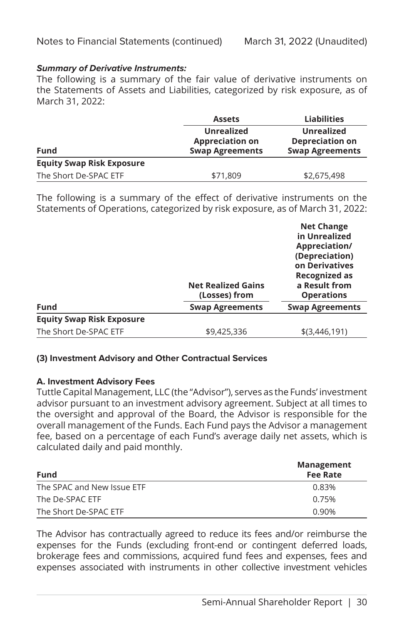#### *Summary of Derivative Instruments:*

The following is a summary of the fair value of derivative instruments on the Statements of Assets and Liabilities, categorized by risk exposure, as of March 31, 2022:

|                                  | <b>Assets</b>          | <b>Liabilities</b>     |
|----------------------------------|------------------------|------------------------|
|                                  | <b>Unrealized</b>      | <b>Unrealized</b>      |
|                                  | <b>Appreciation on</b> | <b>Depreciation on</b> |
| <b>Fund</b>                      | <b>Swap Agreements</b> | <b>Swap Agreements</b> |
| <b>Equity Swap Risk Exposure</b> |                        |                        |
| The Short De-SPAC ETF            | \$71,809               | \$2,675,498            |

The following is a summary of the effect of derivative instruments on the Statements of Operations, categorized by risk exposure, as of March 31, 2022:

|                                  |                                            | <b>Net Change</b><br>in Unrealized<br>Appreciation/<br>(Depreciation)<br>on Derivatives |
|----------------------------------|--------------------------------------------|-----------------------------------------------------------------------------------------|
|                                  | <b>Net Realized Gains</b><br>(Losses) from | Recognized as<br>a Result from<br><b>Operations</b>                                     |
| <b>Fund</b>                      | <b>Swap Agreements</b>                     | <b>Swap Agreements</b>                                                                  |
| <b>Equity Swap Risk Exposure</b> |                                            |                                                                                         |
| The Short De-SPAC ETF            | \$9,425,336                                | \$ (3,446,191)                                                                          |

#### **(3) Investment Advisory and Other Contractual Services**

#### **A. Investment Advisory Fees**

Tuttle Capital Management, LLC (the "Advisor"), serves as the Funds' investment advisor pursuant to an investment advisory agreement. Subject at all times to the oversight and approval of the Board, the Advisor is responsible for the overall management of the Funds. Each Fund pays the Advisor a management fee, based on a percentage of each Fund's average daily net assets, which is calculated daily and paid monthly.

| <b>Fund</b>                | Management<br><b>Fee Rate</b> |
|----------------------------|-------------------------------|
| The SPAC and New Issue ETF | 0.83%                         |
| The De-SPAC ETF            | 0.75%                         |
| The Short De-SPAC ETF      | 0.90%                         |

The Advisor has contractually agreed to reduce its fees and/or reimburse the expenses for the Funds (excluding front-end or contingent deferred loads, brokerage fees and commissions, acquired fund fees and expenses, fees and expenses associated with instruments in other collective investment vehicles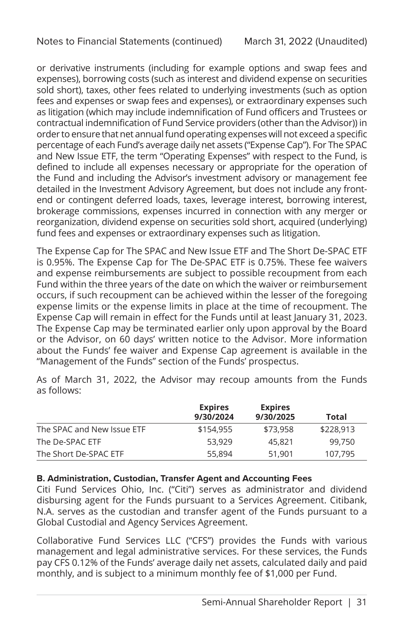or derivative instruments (including for example options and swap fees and expenses), borrowing costs (such as interest and dividend expense on securities sold short), taxes, other fees related to underlying investments (such as option fees and expenses or swap fees and expenses), or extraordinary expenses such as litigation (which may include indemnification of Fund officers and Trustees or contractual indemnification of Fund Service providers (other than the Advisor)) in order to ensure that net annual fund operating expenses will not exceed a specific percentage of each Fund's average daily net assets ("Expense Cap"). For The SPAC and New Issue ETF, the term "Operating Expenses" with respect to the Fund, is defined to include all expenses necessary or appropriate for the operation of the Fund and including the Advisor's investment advisory or management fee detailed in the Investment Advisory Agreement, but does not include any frontend or contingent deferred loads, taxes, leverage interest, borrowing interest, brokerage commissions, expenses incurred in connection with any merger or reorganization, dividend expense on securities sold short, acquired (underlying) fund fees and expenses or extraordinary expenses such as litigation.

The Expense Cap for The SPAC and New Issue ETF and The Short De-SPAC ETF is 0.95%. The Expense Cap for The De-SPAC ETF is 0.75%. These fee waivers and expense reimbursements are subject to possible recoupment from each Fund within the three years of the date on which the waiver or reimbursement occurs, if such recoupment can be achieved within the lesser of the foregoing expense limits or the expense limits in place at the time of recoupment. The Expense Cap will remain in effect for the Funds until at least January 31, 2023. The Expense Cap may be terminated earlier only upon approval by the Board or the Advisor, on 60 days' written notice to the Advisor. More information about the Funds' fee waiver and Expense Cap agreement is available in the "Management of the Funds" section of the Funds' prospectus.

As of March 31, 2022, the Advisor may recoup amounts from the Funds as follows:

|                            | <b>Expires</b> | <b>Expires</b> |           |
|----------------------------|----------------|----------------|-----------|
|                            | 9/30/2024      | 9/30/2025      | Total     |
| The SPAC and New Issue ETF | \$154,955      | \$73,958       | \$228,913 |
| The De-SPAC ETF            | 53,929         | 45,821         | 99.750    |
| The Short De-SPAC ETF      | 55,894         | 51,901         | 107,795   |

### **B. Administration, Custodian, Transfer Agent and Accounting Fees**

Citi Fund Services Ohio, Inc. ("Citi") serves as administrator and dividend disbursing agent for the Funds pursuant to a Services Agreement. Citibank, N.A. serves as the custodian and transfer agent of the Funds pursuant to a Global Custodial and Agency Services Agreement.

Collaborative Fund Services LLC ("CFS") provides the Funds with various management and legal administrative services. For these services, the Funds pay CFS 0.12% of the Funds' average daily net assets, calculated daily and paid monthly, and is subject to a minimum monthly fee of \$1,000 per Fund.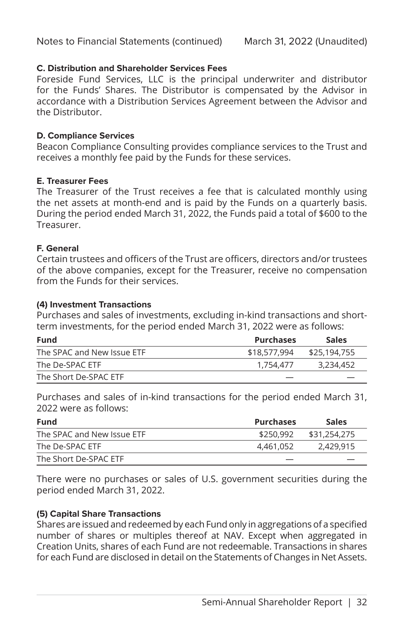### **C. Distribution and Shareholder Services Fees**

Foreside Fund Services, LLC is the principal underwriter and distributor for the Funds' Shares. The Distributor is compensated by the Advisor in accordance with a Distribution Services Agreement between the Advisor and the Distributor.

#### **D. Compliance Services**

Beacon Compliance Consulting provides compliance services to the Trust and receives a monthly fee paid by the Funds for these services.

#### **E. Treasurer Fees**

The Treasurer of the Trust receives a fee that is calculated monthly using the net assets at month-end and is paid by the Funds on a quarterly basis. During the period ended March 31, 2022, the Funds paid a total of \$600 to the Treasurer.

#### **F. General**

Certain trustees and officers of the Trust are officers, directors and/or trustees of the above companies, except for the Treasurer, receive no compensation from the Funds for their services.

#### **(4) Investment Transactions**

Purchases and sales of investments, excluding in-kind transactions and shortterm investments, for the period ended March 31, 2022 were as follows:

| Fund                       | <b>Purchases</b> | <b>Sales</b> |
|----------------------------|------------------|--------------|
| The SPAC and New Issue ETF | \$18,577,994     | \$25,194,755 |
| The De-SPAC ETF            | 1.754.477        | 3.234.452    |
| The Short De-SPAC ETF      |                  |              |

Purchases and sales of in-kind transactions for the period ended March 31, 2022 were as follows:

| Fund                       | <b>Purchases</b> | <b>Sales</b> |
|----------------------------|------------------|--------------|
| The SPAC and New Issue ETF | \$250.992        | \$31,254,275 |
| The De-SPAC FTF            | 4.461.052        | 2.429.915    |
| The Short De-SPAC ETF      |                  |              |

There were no purchases or sales of U.S. government securities during the period ended March 31, 2022.

# **(5) Capital Share Transactions**

Shares are issued and redeemed by each Fund only in aggregations of a specified number of shares or multiples thereof at NAV. Except when aggregated in Creation Units, shares of each Fund are not redeemable. Transactions in shares for each Fund are disclosed in detail on the Statements of Changes in Net Assets.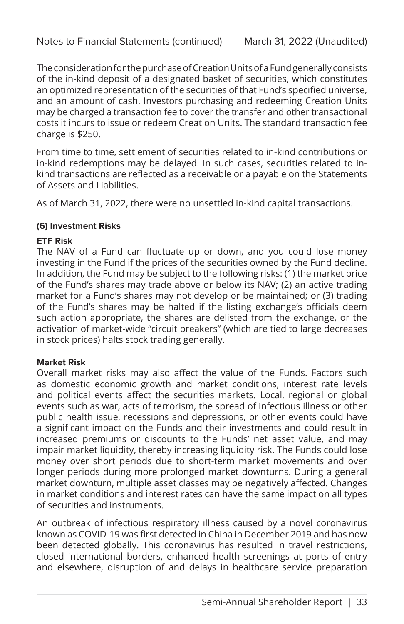The consideration for the purchase of Creation Units of a Fund generally consists of the in-kind deposit of a designated basket of securities, which constitutes an optimized representation of the securities of that Fund's specified universe, and an amount of cash. Investors purchasing and redeeming Creation Units may be charged a transaction fee to cover the transfer and other transactional costs it incurs to issue or redeem Creation Units. The standard transaction fee charge is \$250.

From time to time, settlement of securities related to in-kind contributions or in-kind redemptions may be delayed. In such cases, securities related to inkind transactions are reflected as a receivable or a payable on the Statements of Assets and Liabilities.

As of March 31, 2022, there were no unsettled in-kind capital transactions.

# **(6) Investment Risks**

# **ETF Risk**

The NAV of a Fund can fluctuate up or down, and you could lose money investing in the Fund if the prices of the securities owned by the Fund decline. In addition, the Fund may be subject to the following risks: (1) the market price of the Fund's shares may trade above or below its NAV; (2) an active trading market for a Fund's shares may not develop or be maintained; or (3) trading of the Fund's shares may be halted if the listing exchange's officials deem such action appropriate, the shares are delisted from the exchange, or the activation of market-wide "circuit breakers" (which are tied to large decreases in stock prices) halts stock trading generally.

# **Market Risk**

Overall market risks may also affect the value of the Funds. Factors such as domestic economic growth and market conditions, interest rate levels and political events affect the securities markets. Local, regional or global events such as war, acts of terrorism, the spread of infectious illness or other public health issue, recessions and depressions, or other events could have a significant impact on the Funds and their investments and could result in increased premiums or discounts to the Funds' net asset value, and may impair market liquidity, thereby increasing liquidity risk. The Funds could lose money over short periods due to short-term market movements and over longer periods during more prolonged market downturns. During a general market downturn, multiple asset classes may be negatively affected. Changes in market conditions and interest rates can have the same impact on all types of securities and instruments.

An outbreak of infectious respiratory illness caused by a novel coronavirus known as COVID-19 was first detected in China in December 2019 and has now been detected globally. This coronavirus has resulted in travel restrictions, closed international borders, enhanced health screenings at ports of entry and elsewhere, disruption of and delays in healthcare service preparation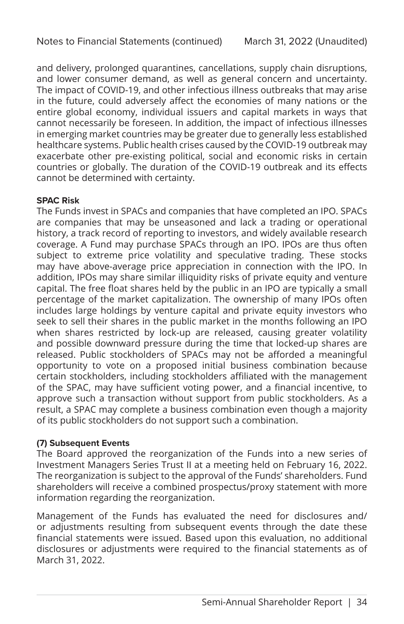and delivery, prolonged quarantines, cancellations, supply chain disruptions, and lower consumer demand, as well as general concern and uncertainty. The impact of COVID-19, and other infectious illness outbreaks that may arise in the future, could adversely affect the economies of many nations or the entire global economy, individual issuers and capital markets in ways that cannot necessarily be foreseen. In addition, the impact of infectious illnesses in emerging market countries may be greater due to generally less established healthcare systems. Public health crises caused by the COVID-19 outbreak may exacerbate other pre-existing political, social and economic risks in certain countries or globally. The duration of the COVID-19 outbreak and its effects cannot be determined with certainty.

#### **SPAC Risk**

The Funds invest in SPACs and companies that have completed an IPO. SPACs are companies that may be unseasoned and lack a trading or operational history, a track record of reporting to investors, and widely available research coverage. A Fund may purchase SPACs through an IPO. IPOs are thus often subject to extreme price volatility and speculative trading. These stocks may have above-average price appreciation in connection with the IPO. In addition, IPOs may share similar illiquidity risks of private equity and venture capital. The free float shares held by the public in an IPO are typically a small percentage of the market capitalization. The ownership of many IPOs often includes large holdings by venture capital and private equity investors who seek to sell their shares in the public market in the months following an IPO when shares restricted by lock-up are released, causing greater volatility and possible downward pressure during the time that locked-up shares are released. Public stockholders of SPACs may not be afforded a meaningful opportunity to vote on a proposed initial business combination because certain stockholders, including stockholders affiliated with the management of the SPAC, may have sufficient voting power, and a financial incentive, to approve such a transaction without support from public stockholders. As a result, a SPAC may complete a business combination even though a majority of its public stockholders do not support such a combination.

#### **(7) Subsequent Events**

The Board approved the reorganization of the Funds into a new series of Investment Managers Series Trust II at a meeting held on February 16, 2022. The reorganization is subject to the approval of the Funds' shareholders. Fund shareholders will receive a combined prospectus/proxy statement with more information regarding the reorganization.

Management of the Funds has evaluated the need for disclosures and/ or adjustments resulting from subsequent events through the date these financial statements were issued. Based upon this evaluation, no additional disclosures or adjustments were required to the financial statements as of March 31, 2022.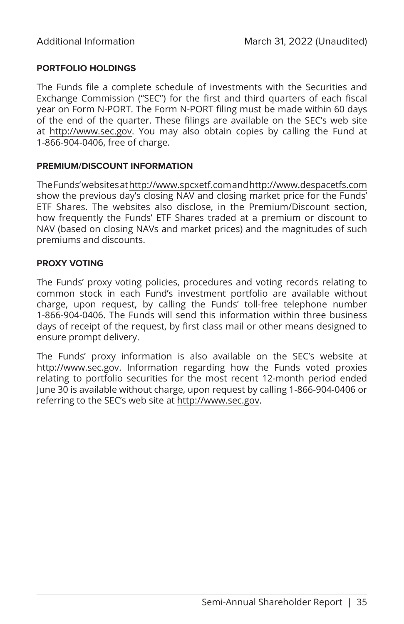### **PORTFOLIO HOLDINGS**

The Funds file a complete schedule of investments with the Securities and Exchange Commission ("SEC") for the first and third quarters of each fiscal year on Form N-PORT. The Form N-PORT filing must be made within 60 days of the end of the quarter. These filings are available on the SEC's web site at http://www.sec.gov. You may also obtain copies by calling the Fund at 1-866-904-0406, free of charge.

#### **PREMIUM/DISCOUNT INFORMATION**

The Funds' websites at http://www.spcxetf.com and http://www.despacetfs.com show the previous day's closing NAV and closing market price for the Funds' ETF Shares. The websites also disclose, in the Premium/Discount section, how frequently the Funds' ETF Shares traded at a premium or discount to NAV (based on closing NAVs and market prices) and the magnitudes of such premiums and discounts.

#### **PROXY VOTING**

The Funds' proxy voting policies, procedures and voting records relating to common stock in each Fund's investment portfolio are available without charge, upon request, by calling the Funds' toll-free telephone number 1-866-904-0406. The Funds will send this information within three business days of receipt of the request, by first class mail or other means designed to ensure prompt delivery.

The Funds' proxy information is also available on the SEC's website at http://www.sec.gov. Information regarding how the Funds voted proxies relating to portfolio securities for the most recent 12-month period ended June 30 is available without charge, upon request by calling 1-866-904-0406 or referring to the SEC's web site at http://www.sec.gov.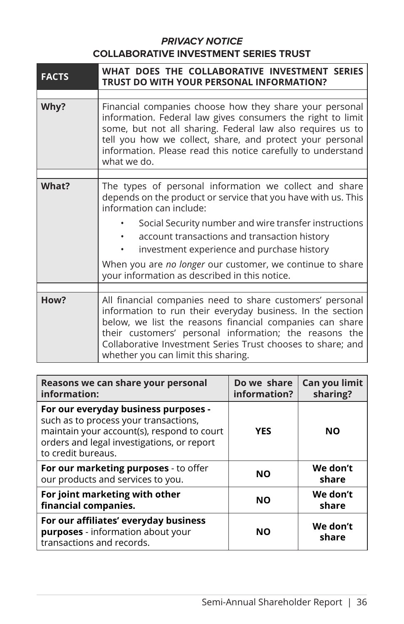# *PRIVACY NOTICE* **COLLABORATIVE INVESTMENT SERIES TRUST**

| <b>FACTS</b> | WHAT DOES THE COLLABORATIVE INVESTMENT SERIES<br>TRUST DO WITH YOUR PERSONAL INFORMATION?                                                                                                                                                                                                                                                                                                                                     |
|--------------|-------------------------------------------------------------------------------------------------------------------------------------------------------------------------------------------------------------------------------------------------------------------------------------------------------------------------------------------------------------------------------------------------------------------------------|
|              |                                                                                                                                                                                                                                                                                                                                                                                                                               |
| Why?         | Financial companies choose how they share your personal<br>information. Federal law gives consumers the right to limit<br>some, but not all sharing. Federal law also requires us to<br>tell you how we collect, share, and protect your personal<br>information. Please read this notice carefully to understand<br>what we do.                                                                                              |
|              |                                                                                                                                                                                                                                                                                                                                                                                                                               |
| What?        | The types of personal information we collect and share<br>depends on the product or service that you have with us. This<br>information can include:<br>Social Security number and wire transfer instructions<br>account transactions and transaction history<br>investment experience and purchase history<br>٠<br>When you are no longer our customer, we continue to share<br>your information as described in this notice. |
|              |                                                                                                                                                                                                                                                                                                                                                                                                                               |
| How?         | All financial companies need to share customers' personal<br>information to run their everyday business. In the section<br>below, we list the reasons financial companies can share<br>their customers' personal information; the reasons the<br>Collaborative Investment Series Trust chooses to share; and<br>whether you can limit this sharing.                                                                           |

| Reasons we can share your personal<br>information:                                                                                                                                              | Do we share<br>information? | Can you limit<br>sharing? |
|-------------------------------------------------------------------------------------------------------------------------------------------------------------------------------------------------|-----------------------------|---------------------------|
| For our everyday business purposes -<br>such as to process your transactions,<br>maintain your account(s), respond to court<br>orders and legal investigations, or report<br>to credit bureaus. | <b>YES</b>                  | <b>NO</b>                 |
| For our marketing purposes - to offer<br>our products and services to you.                                                                                                                      | <b>NO</b>                   | We don't<br>share         |
| For joint marketing with other<br>financial companies.                                                                                                                                          | <b>NO</b>                   | We don't<br>share         |
| For our affiliates' everyday business<br>purposes - information about your<br>transactions and records.                                                                                         | NΟ                          | We don't<br>share         |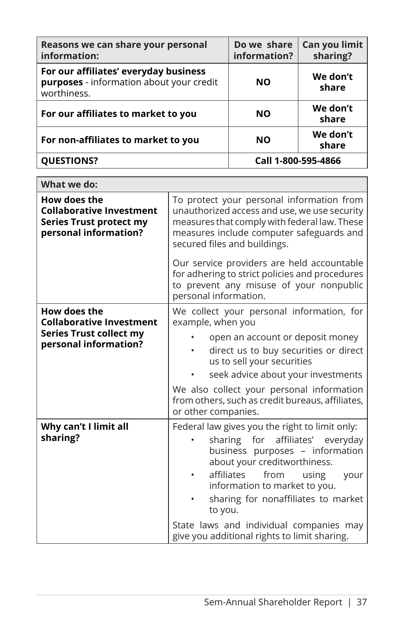| Reasons we can share your personal<br>information:                                               | Do we share<br>information? | Can you limit<br>sharing? |
|--------------------------------------------------------------------------------------------------|-----------------------------|---------------------------|
| For our affiliates' everyday business<br>purposes - information about your credit<br>worthiness. | <b>NO</b>                   | We don't<br>share         |
| For our affiliates to market to you                                                              | NΟ                          | We don't<br>share         |
| For non-affiliates to market to you                                                              | <b>NO</b>                   | We don't<br>share         |
| <b>QUESTIONS?</b>                                                                                | Call 1-800-595-4866         |                           |

| What we do:                                                                                                |                                                                                                                                                                                                                                                                                           |  |
|------------------------------------------------------------------------------------------------------------|-------------------------------------------------------------------------------------------------------------------------------------------------------------------------------------------------------------------------------------------------------------------------------------------|--|
| How does the<br><b>Collaborative Investment</b><br><b>Series Trust protect my</b><br>personal information? | To protect your personal information from<br>unauthorized access and use, we use security<br>measures that comply with federal law. These<br>measures include computer safeguards and<br>secured files and buildings.                                                                     |  |
|                                                                                                            | Our service providers are held accountable<br>for adhering to strict policies and procedures<br>to prevent any misuse of your nonpublic<br>personal information.                                                                                                                          |  |
| How does the<br><b>Collaborative Investment</b><br><b>Series Trust collect my</b><br>personal information? | We collect your personal information, for<br>example, when you                                                                                                                                                                                                                            |  |
|                                                                                                            | open an account or deposit money<br>direct us to buy securities or direct<br>us to sell your securities<br>seek advice about your investments<br>We also collect your personal information<br>from others, such as credit bureaus, affiliates,                                            |  |
|                                                                                                            | or other companies.                                                                                                                                                                                                                                                                       |  |
| Why can't I limit all<br>sharing?                                                                          | Federal law gives you the right to limit only:<br>sharing for affiliates' everyday<br>business purposes - information<br>about your creditworthiness.<br>affiliates from<br>using<br>your<br>$\bullet$<br>information to market to you.<br>sharing for nonaffiliates to market<br>to you. |  |
|                                                                                                            | State laws and individual companies may<br>give you additional rights to limit sharing.                                                                                                                                                                                                   |  |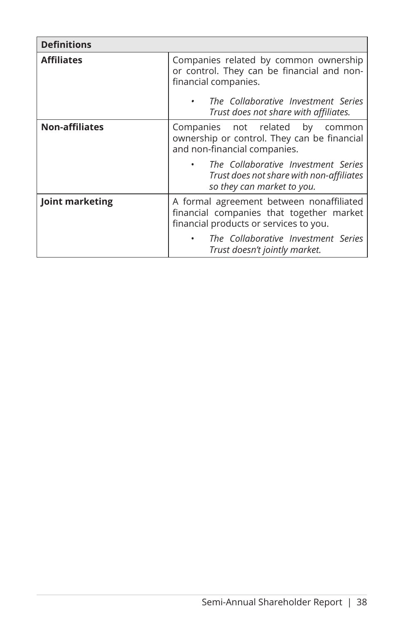| <b>Definitions</b>    |                                                                                                                                |  |
|-----------------------|--------------------------------------------------------------------------------------------------------------------------------|--|
| <b>Affiliates</b>     | Companies related by common ownership<br>or control. They can be financial and non-<br>financial companies.                    |  |
|                       | The Collaborative Investment Series<br>Trust does not share with affiliates.                                                   |  |
| <b>Non-affiliates</b> | Companies not related by common<br>ownership or control. They can be financial<br>and non-financial companies.                 |  |
|                       | The Collaborative Investment Series<br>Trust does not share with non-affiliates<br>so they can market to you.                  |  |
| Joint marketing       | A formal agreement between nonaffiliated<br>financial companies that together market<br>financial products or services to you. |  |
|                       | The Collaborative Investment Series<br>Trust doesn't jointly market.                                                           |  |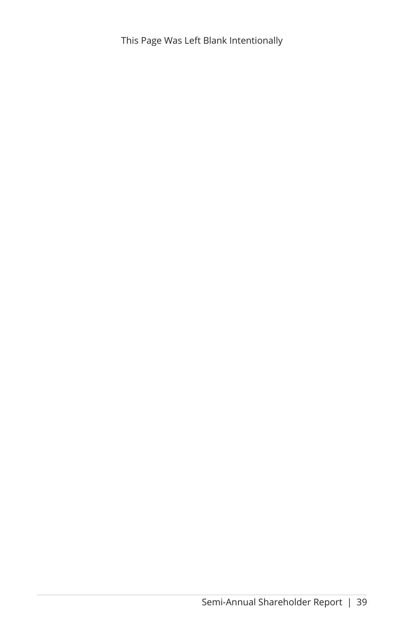This Page Was Left Blank Intentionally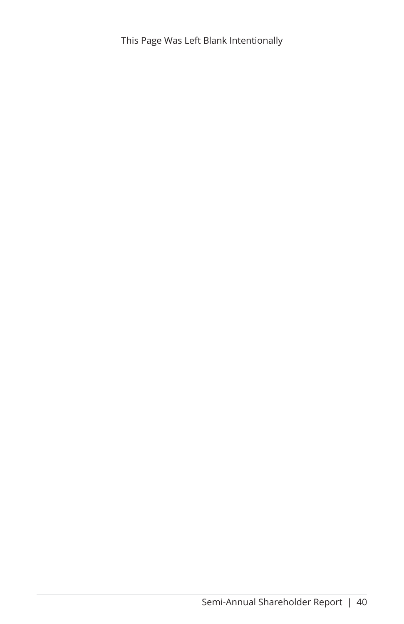This Page Was Left Blank Intentionally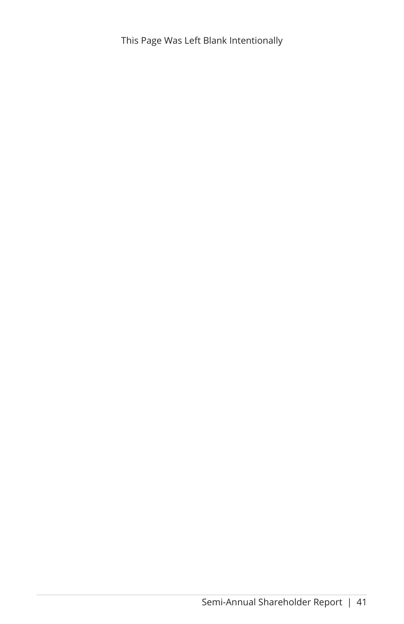This Page Was Left Blank Intentionally